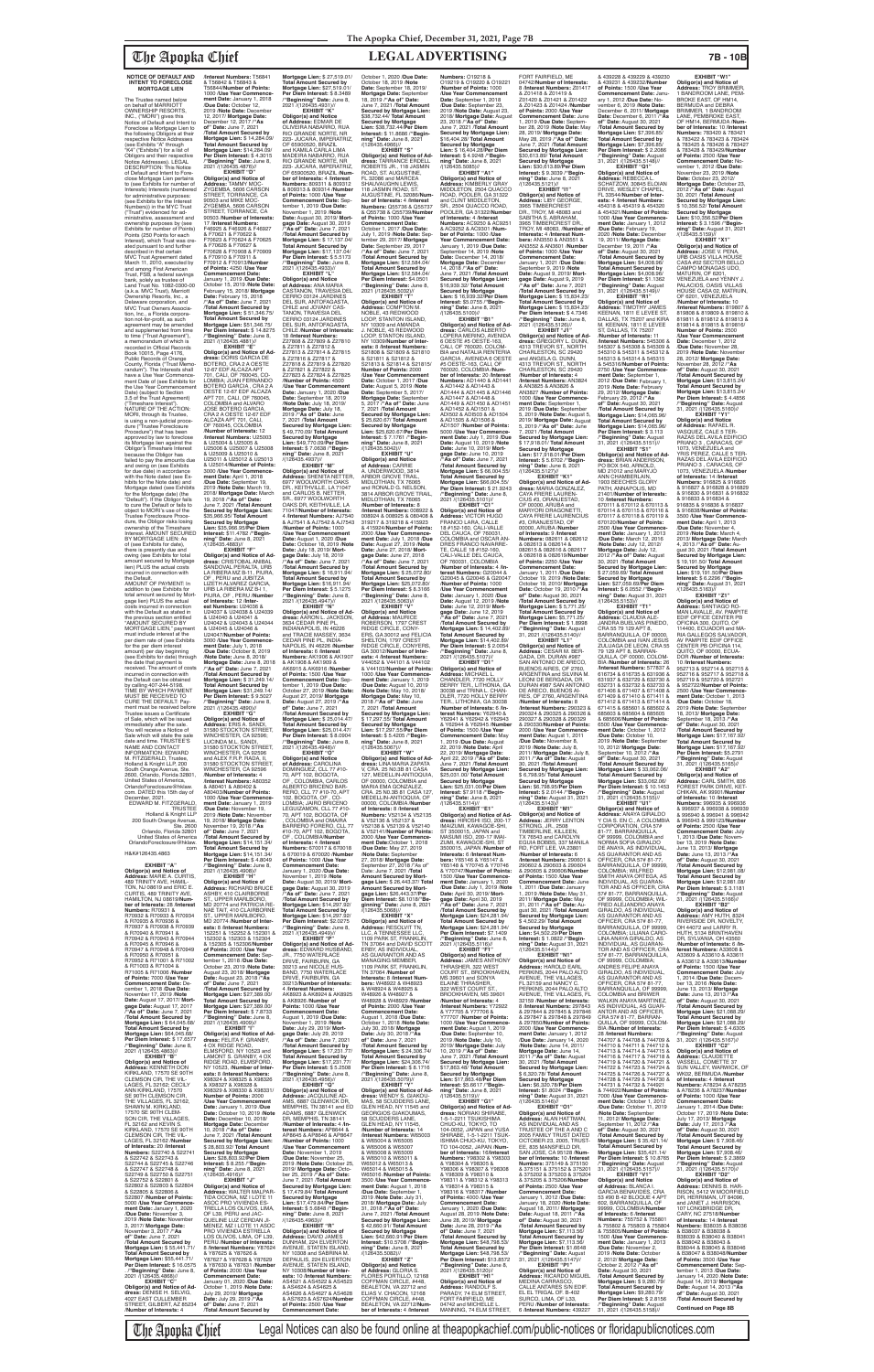The Apopka Chief Legal Notices can also be found online at theapopkachief.com/public-notices or floridapublicnotices.com

#### **NOTICE OF DEFAULT AND INTENT TO FORECLOSE MORTGAGE LIEN**

The Trustee named below on behalf of MARRIOTT OWNERSHIP RESORTS, INC., ("MORI") gives this Notice of Default and Intent to Foreclose a Mortgage Lien to the following Obligors at their respective Notice Addresses (see Exhibits "A" through "K4" ("Exhibits") for a list of Obligors and their respective Notice Addresses). LEGAL DESCRIPTION: This Notice of Default and Intent to Fore-close Mortgage Lien pertains to (see Exhibits for number of Interests) Interests (numbered for administrative purposes: (see Exhibits for the Interest Numbers)) in the MYC Trust ("Trust") evidenced for ad-ministrative, assessment and ownership purposes by (see Exhibits for number of Points) Points (250 Points for each Interest), which Trust was created pursuant to and further described in that certain MVC Trust Agreement dated March 11, 2010, executed by and among First American Trust, FSB, a federal savings bank, solely as trustee of Land Trust No. 1082-0300-00 (a.k.a. MVC Trust), Marriott Ownership Resorts, Inc., a Delaware corporation, and MVC Trust Owners Association, Inc., a Florida corpora-<br>tion not-for-profit, as such<br>agreement may be amended and supplemented from time to time ("Trust Agreement"), a memorandum of which is recorded in Official Records Book 10015, Page 4176, Public Records of Orange County, Florida ("Trust Memorandum"). The Interests shall have a Use Year Commencement Date of (see Exhibits for the Use Year Commencement Date) (subject to Section 3.5 of the Trust Agreement) ("Timeshare Interest"). NATURE OF THE ACTION: MORI, through its Trustee, is using a non-judicial proce-dure ("Trustee Foreclosure Procedure") that has been approved by law to foreclose its Mortgage lien against the Obligor's Timeshare Interest because the Obligor has failed to pay the amounts due and owing on (see Exhibits for due date) in accordance with the Note dated (see Exhibits for the Note date) and Mortgage dated (see Exhibits for the Mortgage date) (the "Default"). If the Obligor fails to cure the Default or fails to object to MORI's use of the Trustee Foreclosure Proce-dure, the Obligor risks losing ownership of the Timeshare ownership of the Timeshare<br>Interest. AMOUNT SECURED BY MORTGAGE LIEN: As of (see Exhibits for date), there is presently due and owing (see Exhibits for total amount secured by Mortgage lien) PLUS the actual costs incurred in connection with the Default. AMOUNT OF PAYMENT: In addition to (see Exhibits for total amount secured by Mort-gage lien) PLUS the actual costs incurred in connection with the Default as stated in the previous section entitled "AMOUNT SECURED BY MORTGAGE LIEN," payment must include interest at the per diem rate of (see Exhibits for the per diem interest amount) per day beginning (see Exhibits for date) through the date that payment is received. The amount of costs incurred in connection with the Default can be obtained by calling 407-244-5198. TIME BY WHICH PAYMENT MUST BE RECEIVED TO CURE THE DEFAULT: Payment must be received before<br>Trustee issues a Certificate of Sale, which will be issued immediately after the sale. You will receive a Notice of Sale which will state the sale

date and time. TRUSTEE'S NAME AND CONTACT INFORMATION: EDWARD<br>M. FITZGERALD, Trustee, M. FITZGERALD, Trustee, Holland & Knight LLP, 200

& U24040 & U24041 & U24042 & U24043 & U24044 & U24045 & U24046 & U24047/**Number of Points:** 3000 /**Use Year Commence-ment Date:** July 1, 2018 /**Due Date:** October 8, 2019 /**Note Date:** June 8, 2018/ **Mortgage Date:** June 8, 2018 /**"As of" Date:** June 7, 2021 /**Total Amount Secured by Mortgage Lien:** \$ 31,249.14/ **Total Amount Secured by Mortgage Lien:** \$31,249.14/ **Per Diem Interest:** \$ 9.5027 /**"Beginning" Date:** June 8, 2021 /(126435.4890)// **EXHIBIT "G" Obligor(s) and Notice of Address:** ERIS A. SANDI, 31580 STOCKTON STREET, WINCHESTER, CA 92596; LUCINDA M.L. SANDI,<br>31580 STOCKTON STREET, WINCHESTER, CA 92596 and ALEX F.R.P. RADA, II, 31580 STOCKTON STREET, WINCHESTER, CA 92596 /**Number of Interests:** 4 /**Interest Numbers:** A80352 & A80401 & A80402 & A80403/**Number of Points:** 1000 /**Use Year Commencement Date:** January 1, 2019 /**Due Date:** November 19, 2019 /**Note Date:** November

OLIVEIRA NABARRO, RUA RIO GRANDE NORTE, NR 223- JUCARA, IMPERATRIZ )F 65900520, BRAZIL<br>nd KAMILA CARLA LIMA and KAMILA CARLA LIMA<br>MADEIRA NABARRO, RUA<br>RIO GRANDE NORTE, NR<br>223- JUCARA, IMPERATRIZ, OF 65900520, BRAZIL /**Number of Interests:** 4 /**Interest Numbers:** 809311 & 809312 & 809313 & 809314 /**Number of Points:** 1000 /**Use Year Commencement Date:** September 1, 2019 /**Due Date:** November 1, 2019 /**Note Date:** August 30, 2019/ **Mort-gage Date:** August 30, 2019 /**"As of" Date:** June 7, 2021 /**Total Amount Secured by Mortgage Lien:** \$ 17,137.04/ **Total Amount Secured by Mortgage Lien:** \$17,137.04/ **Per Diem Interest:** \$ 5.5173 /**"Beginning" Date:** June 8, 2021 /(126435.4933)// **EXHIBIT "L" Obligor(s) and Notice<br><b>of Address:** ANA MARIA<br>CASTANON, TRAVESIA DEL **ning" Date:** June 8, 2021  $\frac{1}{26435.4966}$ //(126435.4966) **EXHIBIT "S" Obligor(s) and Notice of Ad-dress:** TARRANCE ERDELL ROBERTS JR., 118 JASMIN ROAD, ST. AUGUSTINE, FL 32086 and MARCEA<br>SHAUVAUGHN LEWIS SHAUVAUGHN LEWIS,<br>118 JASMIN ROAD, ST.<br>AUGUSTINE, FL 32086/**Number of Interests:** 4 /**Interest Numbers:** Q55736 & Q55737 & Q55738 & Q55739/**Number of Points:** 1000 /**Use Year Commencement Date:** October 1, 2017 /**Due Date:** July 1, 2019 /**Note Date:** September 29, 2017/ **Mortgage Date:** September 29, 2017 /**"As of" Date:** June 7, 2021 /**Total Amount Secured by Mortgage Lien:** \$12,584.04/ **Total Amount Secured by Mortgage Lien:** \$12,584.04/<br>**Per Diem Interest:** \$4.0501<br>**/"Beginning" Date**: June 8,<br>2021 (/126435.5032)//<br>**EXHIBIT "T"** 

/**Number of Interests:** 4

South Orange Avenue, Ste. 2600, Orlando, Florida 32801, United States of America, OrlandoForeclosure@hklaw. com. DATED this 15th day of December, 2021. EDWARD M. FITZGERALD, TRUSTEE Holland & Knight LLP 200 South Orange Avenue, Ste. 2600 Orlando, Florida 32801 United States of America OrlandoForeclosure@hklaw. com H&K#126435.4863 **EXHIBIT "A" Obligor(s) and Notice of Address:** MARIE A. CURTIS, 489 TRINITY AVE, HAMIL-TON, NJ 08619 and ERIC E. CURTIS, 489 TRINITY AVE, HAMILTON, NJ 08619/**Number of Interests:** 28 /**Interest Numbers:** R70931 & R70932 & R70933 & R70934 & R70935 & R70936 & R70937 & R70938 & R70939 & R70940 & R70941 & R70942 & R70943 & R70944 & R70945 & R70946 & R70947 & R70948 & R70949 & R70950 & R70951 & R70952 & R71001 & R71002 & R71003 & R71004 & R71005 & R71006 /**Number of Points:** 7000 /**Use Year Commencement Date:** December 1, 2018 /**Due Date:** November 17, 2019 /**Note Date:** August 17, 2017/ **Mortgage Date:** August 17, 2017 /**"As of" Date:** June 7, 2021 /**Total Amount Secured by Mortgage Lien:** \$ 64,045.68/ **Total Amount Secured by Mortgage Lien: \$64,045 Per Diem Interest:** \$ 17.6577 /**"Beginning" Date:** June 8, //(126435.4863)/<br>"EXHIBIT "B **EXHIBIT "B" Obligor(s) and Notice of Address:** KENNETH DON KIRKLAND, 17570 SE 90TH CLEMSON CIR, THE VIL-LAGES, FL 32162; CECILY ANN KIRKLAND, 17570 SE 90TH CLEMSON CIR, THE VILLAGES, FL 32162, SHAWN M. KIRKLAND, 17570 SE 90TH CLEM-SON CIR, THE VILLAGES, FL 32162 and KEVIN S. KIRKLAND, 17570 SE 90TH CLEMSON CIR, THE VIL-LAGES, FL 32162 /**Number of Interests:** 20 /**Interest Numbers:** S22740 & S22741 & S22742 & S22743 & S22744 & S22745 & S22746 & S22747 & S22748 & S22749 & S22750 & S22751 & S22752 & S22801 & S22802 & S22803 & S22804 & S22805 & S22806 &<br>S22807 /Number of Points S22807 /**Number of Points:** 5000 /**Use Year Commencement Date:** January 1, 2020 /**Due Date:** November 3, 2019 /**Note Date:** November 3, 2017/ **Mortgage Date:** November 3, 2017 /**"As of" Date:** June 7, 2021 /**Total Amount Secured by Mortgage Lien:** \$ 55,441.71/ **Total Amount Secured by Mortgage Lien:** \$55,441.71/ **Per Diem Interest:** \$ 16.0575 . /**"Beginning" Date:** June 8, 2021 /(126435 **EXHIBIT "C" Obligor(s) and Notice of Address:** DENISE H. SELVIG, 4027 EAST CULLEMBER STREET, GILBERT, AZ 85234 & X98327 & X98328 & **Secured by Mortgage**  /(126435.4916)// **EXHIBIT "J"** & Y87625 & Y87626 &

CERRO 03124 JARDINES<br>DEL SUR, ANTOFAGASTA, CHILE and JOVANY CAS-TANON, TRAVESIA DEL CERRO 03124 JARDINES DEL SUR, ANTOFAGASTA CHILE /**Number of Interests:** 18 /**Interest Numbers:** Z27808 & Z27809 & Z27810 & Z27811 & Z27812 & Z27813 & Z27814 & Z27815 & Z27816 & Z27817 & Z27818 & Z27819 & Z27820 & Z27821 & Z27822 & Z27823 & Z27824 & Z27825 /**Number of Points:** 4500 /**Use Year Commencement Date:** January 1, 2020 /**Due Date:** September 18, 2019 /**Note Date:** July 18, 2019/ **Mortgage Date:** July 18, 2019 /**"As of" Date:** June 7, 2021 /**Total Amount Secured by Mortgage Lien:** \$ 49,770.09/ **Total Amount Secured by Mortgage Lien:** \$49,770.09/**Per Diem Interest:** \$ 7.0638 /**"Begin-**<br>**ning" Date:** June 8, 2021<br>/(126435.4937)// **EXHIBIT "M" Obligor(s) and Notice of Address:** SHENITA NETTER, 6977 WOOLWORTH OAKS DR., KEITHVILLE, LA 71047 and CARLOS B. NETTER, SR., 6977 WOOLWORTH<br>OAKS DR, KEITHVILLE, LA 71047/**Number of Interests:** 4 /**Interest Numbers:** AJ7540 & AJ7541 & AJ7542 & AJ7543 /**Number of Points:** 1000 /**Use Year Commencement Date:** August 1, 2020 /**Due Date:** October 18, 2019 /**Note Date:** July 18, 2019/ **Mort-gage Date:** July 18, 2019 /**"As of" Date:** June 7, 2021 /**Total Amount Secured by Mortgage Lien:** \$ 16,911.94/ **Total Amount Secured by Mortgage Lien:** \$16,911.94/ **Per Diem Interest:** \$ 5.1275 **Obligor(s) and Notice of Address:** COMPTON M. NOBLE, 43 REDWOOD LOOP, STANTON ISLAND, NY 10309 and AMANDA J. NOBLE, 43 REDWOOD LOOP, STANTON ISLAND, NY 10309/**Number of Inter-ests:** 8 /**Interest Numbers:** S21808 & S21809 & S21810 & S21811 & S21812 & S21813 & S21814 & S21815/ **Number of Points:** 2000 /**Use Year Commencement Date:** October 1, 2017 /**Due Date:** August 5, 2019 /**Note Date:** September 5, 2017/ **Mortgage Date:** September 5, 2017 /**"As of" Date:** June 7, 2021 /**Total Amount Secured by Mortgage Lien:** \$ 25,620.67/ **Total Amount Secured by Mortgage Lien:** \$25,620.67/**Per Diem Interest:** \$ 7.1761 /**"Beginning" Date:** June 8, 2021<br>/(126435.5042)// **EXHIBIT "U" Obligor(s) and Notice of Address:** CARRIE<br>A. UNDERWOOD, 3814 ARBOR GROVE TRAIL, MIDLOTHIAN, TX 76065 and RONALD G. NELSON, 3814 ARBOR GROVE TRAIL, MIDLOTHIAN, TX 76065 /**Number of Interests:** 8 /**Interest Numbers:** 008922 & 008924 & 008925 & 080408 & 319217 & 319218 & 415923 & 415924/**Number of Points:** 2000 /**Use Year Commencement Date:** July 1, 2018 /**Due Date:** August 27, 2019 /**Note Date:** June 27, 2018/ **Mort-gage Date:** June 27, 2018 /**"As of" Date:** June 7, 2021 /**Total Amount Secured by Mortgage Lien:** \$ 25,072.80/ **Total Amount Secured by** 

/**Interest Numbers:** T56841 & T56842 & T56843 & T56844/**Number of Points:** 1000 /**Use Year Commencement Date:** January 1, 2018 **/Due Date: October 12,<br>2019 /Note Date: December** 2019 /**Note Date:** December 12, 2017/ **Mortgage Date:** December 12, 2017 /**"As of" Date:** June 7, 2021 /**Total Amount Secured by Mortgage Lien:** \$ 14,284.09/ **Total Amount Secured by Mortgage Lien:** \$14,284.09/<br>**Per Diem Interest: \$** 4.3015<br>/**"Beginning" Date:** June 8,<br>2021 /(126435.4876)// **EXHIBIT "D" Obligor(s) and Notice of Address:** TAMMY MOC-ZYGEMBA, 5606 CARSON STREET, TORRANCE, CA 90503 and MIKE MOC-ZYGEMBA, 5606 CARSON STREET, TORRANCE, CA 90503 /**Number of Interests:** 17 /**Interest Numbers:** F46925 & F46926 & F46927 & F70621 & F70622 & F70623 & F70624 & F70625 & F70626 & F70627 & F70628 & F70908 & F70909 & F70910 & F70911 & F70912 & F70913/**Number of Points:** 4250 /**Use Year Commencement Date:** January 1, 2019 /**Due Date:** October 15, 2019 /**Note Date:** February 15, 2018/ **Mortgage Date:** February 15, 2018 /**"As of" Date:** June 7, 2021 /**Total Amount Secured by Mortgage Lien:** \$ 51,346.75/ **Total Amount Secured by Mortgage Lien:** \$51,346.75/ **Per Diem Interest:** \$ 14.8275 /**"Beginning" Date:** June 8, 2021 /(126435.4881)//<br>**FXHIBIT** "F" **EXHIBIT "E"<br>
<b>Obligor(s) and Notice of Ad-**<br> **dress:** DORIS GARCIA DE<br>
BOTERO, CRA 2 A OESTE<br>
12-67 EDF ALCAZA APT 701, CALI, OF 760045, CO-LOMBIA; JUAN FERNANDO BOTERO GARCIA , CRA 2 OESTE 12-67 EDF ALCAZA APT 701, CALI, OF 760045, COLOMBIA and ALVARO JOSE BOTERO GARCIA, CRA 2 A OESTE 12-67 EDF ALCAZA APT 701, CALI, OF 760045, COLOMBIA /**Number of Interests:** 12 /**Interest Numbers:** U25003 & U25004 & U25005 & U25006 & U25007 & U25008 & U25009 & U25010 & U25011 & U25012 & U25013 & U25014/**Number of Points:** 3000 /**Use Year Commencement Date:** April 1, 2018 /**Due Date:** September 19, 2019 /**Note Date:** March 19, 2018/ **Mortgage Date:** March 19, 2018 /**"As of" Date:** June 7, 2021 /**Total Amount Secured by Mortgage Lien:** \$35,966.95/ **Total Amount Secured by Mortgage Lien:** \$35,966.95/**Per Diem Interest:** \$11.4782 /**"Beginning" Date:** June 8, 2021 /(126435.4883)// **EXHIBIT "F" Obligor(s) and Notice of Ad-dress:** CRISTOBAL ANIBAL SANDOVAL PERALTA, URB LA RIBERA MZ B-11, PIURA, OF , PERU and JUBITZA LIZETH ALVAREZ GARCIA, URB LA RIBERA MZ B-l 1, PIURA, OF , PERU /**Number of Interests:** 12 /**Interest Numbers:** U24036 & U24037 & U24038 & U24039 /**"Beginning" Date:** June 8, 2021 /(126435.4947)//

**EXHIBIT "N"<br><b>Obligor(s) and Notice of Ad-**<br>**dress:** AARON L. JACKSON,<br>3634 CEDAR PINE PL,<br>INDIANAPOLIS, IN 46226<br>and TRACIE MASSEY, 3634 CEDAR PINE PL, INDIA-NAPOLIS, IN 46226 /**Number of Interests:** 6 /**Interest Numbers:** AK1906 & AK1907 & AK1908 & AK1909 & AK6915 & AK6916 /**Numbe of Points:** 1500 /**Use Year Commencement Date:** September 1, 2019 /**Due Date:** October 27, 2019 /**Note Date:** August 27, 2019/ **Mortgage Date:** August 27, 2019 /**"As of" Date:** June 7, 2021 /**Total Amount Secured by Mortgage Lien:** \$ 25,014.47/ **Total Amount Secured by Mortgage Lien:** \$25,014.47/ **Per Diem Interest:** \$ 8.0904 /**"Beginning" Date:** June 8, 2021 /(126435.4948)// **EXHIBIT "V" Obligor(s) and Notice<br><b>of Address:** MAURICE<br>ROBERSON, 1797 CREST<br>RIDGE CIRCLE, CONY-ERS, GA 30012 and FELICIA SHELTON, 1797 CREST<br>RIDGE CIRCLE, CONYERS, GA 30012/**Number of Inter-ests:** 4 /**Interest Numbers:** V44052 & V44101 & V44102 & V44103/**Number of Points:** 1000 /**Use Year Commencement Date:** January 1, 2019 /**Due Date:** August 10, 2019 /**Note Date:** May 10, 2018/ **Mortgage Date:** May 10, 2018 /**"As of" Date:** June 7, 2021 /**Total Amount Secured by Mortgage Lien:** \$ 17,297.55/ **Total Amount Secured by Mortgage Lien:** \$17,297.55/**Per Diem Interest:** \$ 5.4205 /**"Begin-**

**Secured by Mortgage Lien:** \$ 16,404.28/**Per Diem Interest:** \$ 4.9248 /**"Beginning" Date:** June 8, 2021<br>/(126435.5085)// **EXHIBIT "A1" Obligor(s) and Notice of Address:** KIMBERLY GRAY MIDDLETON, 2504 QUACCO ROAD, POOLER, GA 31322 and CLINT MIDDLETON, SR., 2504 QUACCO ROAD, POOLER, GA 31322/**Number**<br>of Interests: 4 /Interest **of Interests: 4 /Interest<br><b>Numbers:** AC9250 & AC9251<br>& AC9252 & AC9301 /**Num-<br>ber of Points: 1000 /<b>Use Year Commencement Date:** January 1, 2019 /**Due Date:** September 14, 2019 /**Note Date:** December 14, 2018/ **Mortgage Date:** December 14, 2018 /**"As of" Date:** June 7, 2021 /**Total Amount Secured by Mortgage Lien:** \$16,939.32/ **Total Amount Secured by Mortgage Lien:** \$ 16,939.32/**Per Diem Interest:** \$5.0755 /**"Beginning" Date:** June 8, 2021 /(126435.5100)// **EXHIBIT "B1" Obligor(s) and Notice of Address:** CARLOS ALBERTO<br>LOPERA MERINO, AVENIDA

**Mortgage Lien:** \$ 27,519.01/ **Total Amount Secured by Mortgage Lien:** \$27,519.01/ **Per Diem Interest:** \$ 8.3489 /**"Beginning" Date:** June 8, 2021 /(126435.4931)// **EXHIBIT "K" Obligor(s) and Notice of Address:** EDMAR DE

19, 2018/ **Mortgage Date:** November 19, 2018 /**"As of" Date:** June 7, 2021 /**Total Amount Secured by Mortgage Lien:** \$14,151.34/ **Total Amount Secured by Mortgage Lien:** \$14,151.34/<br>**Per Diem Interest:** \$ 4.8049<br>/**"Beginning" Date:** June 8,<br>2021 /(126435.4908)// **EXHIBIT "H"<br><b>Address:** RICHARD BRUCE<br>**Address:** RICHARD BRUCE<br>ASHBY, 410 CLAIRBORNE<br>ST., UPPER MARLBORO,<br>MD 20774 and PATRICIA RE-NAE TAIT, 410 CLAIRBORNE ST., UPPER MARLBORO, MD 20774 /**Number of Inter-ests:** 8 /**Interest Numbers:** 152251 & 152252 & 152301 & 152302 & 152303 & 152304 & 152305 & 152306/**Number**  of Points: 2000 /Use Year<br>Commencement Date: Sep-<br>tember 1, 2018 /Due Date:<br>October 23, 2019 /Note Date:<br>August 23, 2018 /Mortgage<br>Date: August 23, 2018 /"As<br>of" Date: June 7, 2021 /**Total Amount Secured by Mortgage Lien:** \$27,389.00/ **Total Amount Secured by Mortgage Lien:** \$27,389.00/ **Per Diem Interest:** \$ 7.8733 /**"Beginning" Date:** June 8, 2021 /(126435.4909)// **EXHIBIT "I" Obligor(s) and Notice of Ad-dress:** FELITA F. GRANBY, 4 OX RIDGE ROAD, ELMSFORD, NY 10523 and LAMONT S. GRANBY, 4 OX RIDGE ROAD, ELMSFORD, NY 10523, /**Number of Interests:** 8 /**Interest Numbers:** X98324 & X98325 & X98326 X98329 & X98330 & X98331/ **Number of Points:** 2000 /**Use Year Commencement Date:** January 1, 2019 /**Due Date:** October 10, 2019 /**Note Date:** December 10, 2018/ **Mortgage Date:** December 10, 2018 /**"As of" Date:** June 7, 2021 /**Total Amount Secured by Mortgage Lien:** \$ 28,803.92/ **Total Amount Lien:** \$28,803.92/**Per Diem Interest:** \$ 8.255 /**"Begin-ning" Date:** June 8, 2021 **Obligor(s) and Notice of Address:** WALTER MALPAR-TIDA OCONA, MZ I LOTE 11 ASOC PRO VIVIENDA ES-TRELLA LOS OLIVOS, LIMA, OF L39, PERU and JAC-QUELINE LUZ CERDAN JI-MENEZ, MZ I LOTE 11 ASOC PRO VIVIENDA ESTRELLA LOS OLIVOS, LIMA, OF L39, PERU /**Number of Interests:** 8 /**Interest Numbers:** Y87624 Y87627 & Y87628 & Y87629 & Y87630 & Y87631 /**Number of Points:** 2000 /**Use Year Commencement Date:** January 01, 2020 /**Due Date:** October 1, 2019 /**Note Date:** July 29, 2019/ **Mortgage Date:** July 29, 2019 /**"As of" Date:** June 7, 2021 /**Total Amount Secured by**  DOMINGUEZ, CLL 77 #10- 70, APT 102, BOGOTA, OF , COLOMBIA, CARLOS<br>ALBERTO BRICENO BAR-<br>RERO, CLL 77 #10-70, APT<br>102, BOGOTA, OF , CO-LOMBIA; JAIRO BRICENO LEGUIZAMON, CLL 77 #10- 70, APT 102, BOGOTA, OF , COLOMBIA and OMAIRA BARRERO FORERO, CLL 77 #10-70, APT 102, BOGOTA, OF , COLOMBIA/**Number of Interests:** 4 /**Interest Numbers:** 670017 & 670018 & 670019 & 670020 /**Number of Points:** 1000 /**Use Year Commencement Date:** January 1, 2020 /**Due Date:** November 1, 2019 /**Note Date:** August 30, 2019/ **Mortgage Date:** August 30, 2019 /**"As of" Date:** June 7, 2021 /**Total Amount Secured by Mortgage Lien:** \$14,297.92/ **Total Amount Secured by Mortgage Lien:** \$14,297.92/ **Per Diem Interest:** \$2.0275 /**"Beginning" Date:** June 8, 2021 /(126435.4949)// **EXHIBIT "P" Obligor(s) and Notice of Ad-dress:** EDWARD HUSBAND, JR., 7750 WATERLACE<br>DRIVE, FAIRBURN, GA<br>30213 and NICOLE HUS-BAND, 7750 WATERLACE DRIVE, FAIRBURN, GA 30213/**Number of Interests:** 4 /**Interest Numbers:** AK8923 & AK8924 & AK8925 & AK8926 /**Number of Points:** 1000 /**Use Year Commencement Date:** August 1, 2019 /**Due Date:** November 1, 2019 /**Note Date:** July 29, 2019/ **Mort-gage Date:** July 29, 2019 /**"As of" Date:** June 7, 2021 /**Total Amount Secured by Mortgage Lien:** \$ 17,231.77/ **Total Amount Secured by Mortgage Lien:** \$17,231.77/ **Per Diem Interest:** \$ 5.2508 /**"Beginning" Date:** June 8, 2021 /(126435.4956)// **EXHIBIT "Q Obligor(s) and Notice of Address:** JACQULINE AD-AMS, 6887 GLENWICK DR, MEMPHIS, TN 38141 and ED ADAMS, 6887 GLENWICK DR, MEMPHIS, TN 38141 /**Number of Interests:** 4 /**In-terest Numbers:** AP8644 & AP8645 & AP8646 & AP8647 /**Number of Points:** 1000 /**Use Year Commencement Date:** November 1, 2019 /**Due Date:** November 25, 2019 /**Note Date:** October 25, 2019/ **Mortgage Date:** Octo-ber 25, 2019 /**"As of" Date:** June 7, 2021 /Total Amount **Secured by Mortgage Lien:** \$ 17,479.84/ **Total Amount Secured by Mortgage Lien:** \$17,479.84/**Per Diem Interest:** \$ 5.6848 /**"Begin-ning" Date:** June 8, 2021 /(126435.4963)// **EXHIBIT "R" Obligor(s) and Notice of Address:** DAVID JAMES DUNHAM, 224 ELVERTON AVENUE, STATEN ISLAND, NY 10308 and SABRINA M. DEPAULIS, 224 ELVERTON AVENUE, STATEN ISLAND, NY 10308/**Number of Interests:** 10 /**Interest Numbers:** AS4521 & AS4522 & AS4523 & AS4624 & AS4625 & AS4626 & AS4627 & AS4628 & AS7623 & AS7624/**Number of Points:** 2500 /**Use Year** 

OF 00000, ARUBA and MARYORI DRAGONETTI, CAYA FRERE LAURENCIUS #3, ORANJESTAD, OF 00000, ARUBA /**Number of Interests:** 9 /**Interest Numbers:** 082611 & 082612 & 082613 & 082614 & 082615 & 082616 & 082617 & 082618 & 082619/**Number of Points:** 2250 /**Use Year Commencement Date:** January 1, 2011 /**Due Date:** October 19, 2019 /**Note Date:** October 19, 2010/ **Mortgage Date:** October 19, 2010 /**"As of" Date:** August 30, 2021 /**Total Amount Secured by Mortgage Lien:** \$ 5,771.25/ **Total Amount Secured by Mortgage Lien: \$5,771.25/<br><b>Per Diem Interest: \$ 1.8998**<br>/**"Beginning" Date:** August<br>31, 2021 /(126435.5140)//

**EXHIBIT "L1"<br><b>Obligor(s) and Notice of**<br>**Address:** CESAR M. BER-<br>GADA, DR. DURAN #987<br>SAN ANTONIO DE ARECO,<br>BUENOS AIRES, OF 2760,

ARGENTINA and SILVINA M. LEONI DE BERGADA, DR.<br>DURAN #987 SAN ANTONIO<br>DE ARECO, BUENOS AI-<br>RES, OF 2760, ARGENTINA

**EXHIBIT "O" Obligor(s) and Notice of Address:** CAROLINA **Commencement Date: ning" Date:** June 8, 2021<br>/(126435.5067)// **EXHIBIT "W" Obligor(s) and Notice of Ad-dress:** LINA MARIA ZAPATA V, CRA. 25 N0.3B 81 CASA 127, MEDELLIN-ANTIOQUIA, OF 00000, COLOMBIA and MARIA EMA GONZALEZ,<br>CRA. 25 N0.3B 81 CASA 127,<br>MEDELLIN-ANTIOQUIA, OF<br>00000, COLOMBIA /**Number of Interests:** 8 /**Interest Numbers:** V52134 & V52135 & V52136 & V52137 & V52138 & V52139 & V52140 & V52141/**Number of Points:** 2000 /**Use Year Commencement Date:**October 1, 2018 /**Due Date:** May 27, 2019 /**Note Date:** September 27, 2018/ **Mortgage Date:** September 27, 2018 /"As of" Date: June 7, 2021 /**Total Amount Secured by Mort-gage Lien:** \$ 26,443.37/ **Total Amount Secured by Mort-gage Lien:** \$26,443.37/**Per Diem Interest:** \$8.1018/**"Beginning" Date:** June 8, 2021<br>/(126435.5068)// **EXHIBIT "X" Obligor(s) and Notice of Address:** RESOLVIT TN, LLC, A TENNESSEE LLC, 1109 PARK ST, FRANKLIN, TN 37064 and DAVID SCOTT ERBY, AS INDIVIDUAL, AS GUARANTOR AND AS MANAGING MEMBER,<br>1109 PARK ST, FRANKLIN,<br>TN 37064 /**Number of Interests:** 8 /**Interest Num-bers:** W48922 & W48923 & W48924 & W48925 & W48926 & W48927 & W48928 & W48929 /**Number of Points:** 2000 /**Use Year Commencement Date:** August 1, 2018 /**Due Date:** October 1, 2018 /**Note Date:** July 30, 2018/ **Mortgage Date:** July 30, 2018 /**"As of" Date:** June 7, 2021 /**Total Amount Secured by Mortgage Lien:** \$ 24,306.74/ **Total Amount Secured by Mortgage Lien:** \$24,306.74/ **Per Diem Interest:** \$ 8.1716 /**"Beginning" Date:** June 8, 2021 /(126435.5079)// **EXHIBIT "Y" Obligor(s) and Notice of Ad-dress:** WENDY S. GIAKOU-MAS, 58 SCUDDERS LANE, GLEN HEAD, NY 11545 and GEORGIOS GIAKOUMAS, 58 SCUDDERS LANE, GLEN HEAD, NY 11545, /**Number of Interests:** 14 /**Interest Numbers:** W65003 & W65004 & W65005 & W65006 & W65007 & W65008 & W65009 & W65010 & W65011 & W65012 & W65013 & W65014 & W65015 & W65016 /**Number of Points:** 3500 /**Use Year Commencement Date:** August 1, 2018 /**Due Date:** September 1, 2019 /**Note Date:** July 31, 2018/ **Mortgage Date:** July 31, 2018 /**"As of" Date:** June 7, 2021 /**Total Amount Secured by Mortgage Lien:** \$ 42,660.91/ **Total Amount Secured by Mortgage Lien:** \$42,660.91/**Per Diem Interest:** \$10.5708 /**"Beginning" Date:** June 8, 2021 /(126435.5082)//<br>**FXHIBIT** "7" **EXHIBIT "Z" Obligor(s) and Notice of Address:** GLORIA S. FLORES PORTILLO, 12168 COFFMAN CIRCLE, #448, BEALETON, VA 22712 and ELIAS V. CHACON, 12168 COFFMAN CIRCLE, #448, BEALETON, VA 22712/**Nur ber of Interests:** 4 /**Interest** 

October 1, 2020 /**Due Date:** October 18, 2019 /**Note Date:** September 18, 2019/ **Mortgage Date:** September 18, 2019 /**"As of" Date:** June 7, 2021 /**Total Amount Secured by Mortgage Lien:** \$38,732.44/ **Total Amount Secured by Mortgage Lien:** \$38,732.44/**Per Diem Interest:** \$ 11.8686 /**"Begin-Numbers:** O19218 & O19219 & O19220 & O19221 /**Number of Points:** 1000 /Use Year Commencemen Date: September 1, 2018<br>**Due Date:** September 23 /**Due Date:** September 23, 2019 /**Note Date:** August 23, 2018/ **Mortgage Date:** August 23, 2018 /**"As of" Date:** June 7, 2021 /**Total Amount Secured by Mortgage Lien:** \$16,404.28/ **Total Amount** 

> **Obligor(s) and Notice of Address:** JOSE V. PENA, URB OASIS VILLA HOUSE CASA #02 SECTOR BELLO CAMPO MONAGAS UDO, MATURIN, OF 6201, VENEZUELA and YENNY J.<br>PALACIOS, OASIS VILLAS PALACIOS, OASIS VILLAS<br>HOUSE CASA 02, MATRUIN,<br>OF 6201, VENEZUELA<br>/**Number of Interests:** 10 /**Interest Numbers:** 819807 & 819808 & 819809 & 819810 & 819811 & 819812 & 819813 & 819814 & 819815 & 819816/ **Number of Points:** 2500 /Use Year Commencemen **Date:** December 1, 2012 /**Due Date:** November 28, 2019 /**Note Date:** November 28, 2012/ **Mortgage Date:** November 28, 2012 /**"As of" Date:** August 30, 2021 /**Total Amount Secured by Mortgage Lien:** \$13,815.24/ **Total Amount Secured by Mortgage Lien:** \$13,815.24/ **Per Diem Interest:** \$ 4.4856 /**"Beginning" Date:** August 31, 2021 /(126435.5160)//<br>EXHIBIT "Y1"

**Mortgage Lien:** \$25,072.80/ **Per Diem Interest:** \$ 8.3166 /**"Beginning" Date:** June 8, 2021 /(126435.5063)// 6 OESTE #5 OESTE-163, CALI, OF 760020, COLOM-BIA and NATALIA RENTERIA GARCIA , AVENIDA 6 OESTE #5 OESTE-163, CALI, OF 760020, COLOMBIA /**Number of Interests:** 20 /**Interest Numbers:** AD1440 & AD1441 & AD1442 & AD1443 & AD1444 & AD1445 & AD1446 & AD1447 & AD1448 & AD1449 & AD1450 & AD1451 & AD1452 & AD1501 & ADI502 & ADI503 & AD1504 & AD1505 & AD1506 & AD1507 /**Number of Points:** 5000 /**Use Year Commence-ment Date:** July 1, 2019 /**Due Date:** August 10, 2019 /**Note Date:** June 10, 2019/ **Mort-gage Date:** June 10, 2019 /**"As of" Date:** June 7, 2021 /**Total Amount Secured by Mortgage Lien:** \$ 66,004.55/ **Total Amount Secured by Mortgage Lien:** \$66,004.55/ **Per Diem Interest:** \$ 21.9243 /**"Beginning" Date:** June 8, 2021 /(126435.5101)// **EXHIBIT "C1" Obligor(s) and Notice of Address:** VICTOR HUGO FRANCO LARA, CALLE 18 #152-160, CALI-VALLE DEL CAUCA, OF 760031, COLOMBIA and OSCAR AN-DRES FRANCO NAVARRE-<br>TE. CALLE 18 #152-160. TE, CALLE 18 #152-160,<br>CALI-VALLE DEL CAUCA,<br>OF 760031, COLOMBIA<br>/**Number of Interests:** 4 /**Interest Numbers:** G20044 & G20045 & G20046 & G20047 /**Number of Points:** 1000 /**Use Year Commencement Date:** January 1, 2020 /**Due Date:** August 12, 2019 /**Note Date:** June 12, 2019/ **Mortgage Date:** June 12, 2019 /**"As of" Date:** June 7, 2021 /**Total Amount Secured by Mortgage Lien:** \$ 14,402.89/ **Total Amount Secured by Mortgage Lien:** \$14,402.89/ **Per Diem Interest:** \$ 2.0054

**Per Diem Interest: \$ 10.1453<br>/"<b>Beginning" Date:** August<br>31, 2021 /(126435.5155)// /**"Beginning" Date:** August 31, 2021 /(126435.5158)// **Address:** SANTIAGO RO-MAN LAVALLE, AV. PAMPITE EDIF OFFICE CENTER PB OFICINA 300, QUITO, OF 114400, ECUADOR and MA-RIA GALLEGOS SALVADOR, AV PAMPITE EDIF OFFICE CENTER PB OFICINA 114, QUITO, OF 00000, ECUA-DOR /**Number of Interests:** 10 /**Interest Numbers:** 952713 & 952714 & 952715 & 952716 & 952717 & 952718 & 952719 & 952720 & 952721<br>& 952722/Number of Points: & 952722/**Number of Points:** 2500 /**Use Year Commence-ment Date:** October 1, 2013 /**Due Date:** October 18, 2019 /**Note Date:** September 18, 2013/ **Mortgage Date:** September 18, 2013 /**"As of" Date:** August 30, 2021 /**Total Amount Secured by Mortgage Lien:** \$17,167.92/ **Total Amount Secured by Mortgage Lien:** \$17,167.92/ **Per Diem Interest:** \$5.2791 /**"Beginning" Date:** August 31, 2021 /(126435.5165)// **EXHIBIT "A2" Obligor(s) and Notice of Address:** CARL SMITH, 836 FOREST PARK DRIVE, KET-CHIKAN, AK 99901/**Number of Interests:** 10 /**Interest Numbers:** 996935 & 996936 & 996937 & 996938 & 996939 & 996940 & 996941 & 996942 & 996943 & 999123/**Number of Points:** 2500 /**Use Year Commencement Date:** July 1, 2013 /**Due Date:** November 13, 2019 /**Note Date:** June 13, 2013/ **Mortgage Date:** June 13, 2013 /**"As of" Date:** August 30, 2021 /**Total Amount Secured by Mortgage Lien:** \$12,981.08/ **Total Amount Secured by Mortgage Lien:** \$12,981.08/ **Per Diem Interest:** \$ 3.1181 /**"Beginning" Date:** August 31, 2021 /(126435.5166)// **EXHIBIT "B2" Obligor(s) and Notice of Address:** AMY HUTH, 8324 RIVERSIDE DR, NOVELTY, OH 44072 and LARRY R. HUTH, 5134 BRINTHAVEN DR, SYLVANIA, OH 43560 /**Number of Interests:** 6 /**Interest Numbers:** A33608 & A33609 & A33610 & A33611 & A33612 & A33613/**Number of Points:** 1500 /**Use Year Commencement Date:** July 1, 2014 /**Due Date:** December 13, 2016 /**Note Date:** June 13, 2013/ **Mortgage Date:** June 13, 2013 /**"As of" Date:** August 30, 2021 /**Total Amount Secured by Mortgage Lien:** \$21,088.29/ **Total Amount Secured by Mortgage Lien:** \$21,088.29/ **Per Diem Interest:** \$ 4.6305 /**"Beginning" Date:** August 31, 2021 /(126435.5167)// **EXHIBIT "C2" Obligor(s) and Notice of Address:** CLAUDETTE<br>VASSELL, COMETTE 37<br>SUN VALLEY, WARWICK, OF WK02, BERMUDA /**Number of Interests:** 4 /**Interest Numbers:** A78234 & A78235 & A78236 & A78237/**Number of Points:** 1000 /**Use Year Commencement Date:** January 1, 2014 /**Due Date:** October 17, 2019 /**Note Date:** July 17, 2013/ **Mortgage Date:** July 17, 2013 /**"As of" Date:** August 30, 2021 /**Total Amount Secured by Mortgage Lien:** \$ 7,908.46/ **Total Amount Secured by Mortgage Lien:** \$7,908.46/ **Per Diem Interest:** \$ 2.3869 /**"Beginning" Date:** August 31, 2021 /(126435.5170)// **EXHIBIT "D2" Obligor(s) and Notice of Address:** DENNIS B. HAR-RISON, 5412 W MOORFIELD DR, HERRIMAN, UT 84096, and JANET J. HARRISON, 107 LONGBRIDGE DR, CARY, NC 27518/**Number of Interests:** 14 /**Interest Numbers:** B38035 & B38036 & B38037 & B38038 & B38039 & B38040 & B38041 & B38042 & B38043 & B38044 & B38045 & B38046 & B38047 & B38048/**Number of Points:** 3500 /**Use Year Commencement Date:** September 1, 2013 /**Due Date:** January 14, 2020 /**Note Date:** August 14, 2013/ **Mortgage Date:** August 14, 2013 /**"As of" Date:** August 30, 2021 /**Total Amount Secured by** 

/**"Beginning" Date:** June 8, 2021 /(126435.5107)// **EXHIBIT "D1" Obligor(s) and Notice of Address:** MICHAEL L. CHANDLER, 7720 HOLLY BERRY TER., LITHONIA, GA 30038 and TRINA L. CHAN-DLER, 7720 HOLLY BERRY TER., LITHONIA, GA 30038 /**Number of Interests:** 6 /**In-terest Numbers:** Y62940 & Y62941 & Y62942 & Y62943 & Y62944 & Y62945 /**Number of Points:** 1500 /**Use Year Commencement Date:** May 1, 2019 /**Due Date:** August 22, 2019 /**Note Date:** April

\$25,031.00/ **Total Amount Secured by Mortgage Lien:** \$25,031.00/**Per Diem Interest:** \$7.9118 /**"Begin-ning" Date:** June 8, 2021 /(126435.5114)// **EXHIBIT "E1" Obligor(s) and Notice of Address:** HIROSHI ISO, 200-17 IMAIZUMI, KAWAGOE-SHI,<br>ST 3500015, JAPAN and<br>MASUMI ISO, 200-17 IMAI-ZUMI, KAWAGOE-SHI, ST 3500015, JAPAN /**Number of Interests:** 6 /**Interest Num-bers:** Y65146 & Y65147 & Y65148 & Y70745 & Y70746 & Y70747/**Number of Points:** 1500 /**Use Year Commence-ment Date:** January 1, 2020 /**Due Date:** July 1, 2019 /**Note Date:** April 30, 2019/ **Mort-gage Date:** April 30, 2019 /**"As of" Date:** June 7, 2021 /**Total Amount Secured by Mortgage Lien:** \$24,281.94/ **Total Amount Secured by Mortgage Lien:** \$24,281.94/ **Per Diem Interest: \$7.1409**<br>**Per Diem Interest: \$7.1409** /**"Beginning" Date:** June 8, 2021 /(126435.5116)// **EXHIBIT "F1" Obligor(s) and Notice of<br><b>Address:** JAMES ANTHONY<br>THRASHER, 322 WEST COURT ST., BROOKHAVEN, MS 39601 and SONYA ELAINE THRASHER, 322 WEST COURT ST., BROOKHAVEN, MS 39601 /**Number of Interests:** 4 /**Interest Numbers:** Y72922 & Y77705 & Y77706 & Y77707 /**Number of Points:** 1000 /**Use Year Comment ment Date:** August 1, 2019 /**Due Date:** September 10, 2019 /**Note Date:** July 10, 2019/ **Mortgage Date:** July 10, 2019 /**"As of" Date:** June 7, 2021 /**Total Amount Secured by Mortgage Lien:** \$17,863.48/ **Total Amount Secured by Mortgage Lien:** \$17,863.48/**Per Diem Interest:** \$5.6617 /**"Beginning" Date:** June 8, 2021 /(126435.5119)// **EXHIBIT "G1" Obligor(s) and Notice of Address: NORIAKI SHIRABE,<br>1-5-1-2211 TSUKISHIMA** 1-5-1-2211 TSUKISHIMA<br>CHUO-KU, TOKYO, TO<br>104-0052, JAPAN and YUSA<br>SHIRABE, 1-5-1-2211 TSUK-<br>ISHIMA CHUO-KU, TOKYO,<br>TO 104-0052, JAPAN /**Number of Interests:** 16/**Interest Numbers:** Y98302 & Y98303 & Y98304 & Y98305 & Y98306 & Y98307 & Y98308 & Y98309 & Y98310 & Y98311 & Y98312 & Y98313 & Y98314 & Y98315 & Y98316 & Y98317 /**Number of Points:** 4000 /**Use Year Commencement Date:** January 1, 2020 /**Due Date:** August 28, 2019 /**Note Date:** June 28, 2019/ **Mortgage Date:** June 28, 2019 /**"As of" Date:** June 7, 2021 /**Total Amount Secured by Mortgage Lien:** \$48,798.53/ **Total Amount Secured by Mortgage Lien:** \$48,798.53/ **Per Diem Interest:** \$13.8572 /**"Beginning" Date:** June 8, 2021 /(126435.5120)// **EXHIBIT "H1" Obligor(s) and Notice of Address:** RANDOLF S. PARADY, 74 ELM STREET, FORT FAIRFIELD, ME 04742 and MICHELLE L. MANNING, 74 ELM STREET,

22, 2019/ **Mortgage Date:** April 22, 2019 /**"As of" Date:** June 7, 2021 /**Total Amount Secured by Mortgage Lien:** /**Number of Interests:** 8 /**Interest Numbers:** 290323 & 290324 & 290325 & 290326 & 290327 & 290328 & 290329 & 290330/**Number of Points:** 2000 /**Use Year Commencement Date:** August 1, 2011 /**Due Date:** November 8, 2019 /**Note Date:** July 8, 2011/ **Mortgage Date:** July 8, 2011 /**"As of" Date:** August 30, 2021 /**Total Amount Secured by Mortgage Lien:** \$ 6,798.95/ **Total Amount Secured by Mortgage Lien:** \$6,798.95/**Per Diem Interest:** \$ 2.0144 /**"Begin-ning" Date:** August 31, 2021 /(126435.5143)<sup>//</sup><br>EXHIBIT "M1" **EXHIBIT "M1" Obligor(s) and Notice of Address:** JERRY LENTON STRONG, JR., 2508 TIMBERLINE, KILLEEN, TX 76543 and CAROLYN EGUIA BOBBS, 337 MANILA RD, FORT LEE, VA 23801 /**Number of Interests:** 6 /**Interest Numbers:** 290601 & 290602 & 290603 & 290604 & 290605 & 290606/**Number of Points:** 1500 /**Use Year Commencement Date:** June 1, 2011 /**Due Date:** January 1, 2019 /**Note Date:** May 31, 2011/ **Mortgage Date:** May 31, 2011 /**"As of" Date:** August 30, 2021 /**Total Amount Secured by Mortgage Lien:** \$ 4,502.29/ **Total Amount Secured by Mortgage Lien:** \$4,502.29/**Per Diem Interest:** \$ 1.0822 /**"Beginning" Date:** August 31, 2021<br>/(126435.5144)// **EXHIBIT "N1" Obligor(s) and Notice of Address:** HAROLD EARL PERKINS, 2044 PALO ALTO AVENUE, THE VILLAGES, FL 32159 and NANCY C. PERKINS, 2044 PALO ALTO AVENUE, THE VILLAGES, FL 32159 /**Number of Interests:** 8 /**Interest Numbers:** 297843 & 297844 & 297845 & 297846 & 297847 & 297848 & 297849 & 297850/**Number of Points:** 2000 /**Use Year Commence-ment Date:** January 1, 2012 /**Due Date:** January 14, 2020 /**Note Date:** June 14, 2011/ **Mortgage Date:** June 14,<br>2011 /"**As of" Date:** August<br>30, 2021 /**Total Amount<br>Secured by Mortgage Lien:<br>\$ 6,320.78/ Total Amount Secured by Mortgage Lien:** \$6,320.78/**Per Diem Interest:** \$1.8024 /**"Begin-ning" Date:** August 31, 2021 /(126435.5146)// **EXHIBIT "O1" Obligor(s) and Notice of Address:** ALAN HATTMAN, AS INDIVIDUAL AND AS TRUSTEE OF THE A AND C 2005 FAMILY TRUST DATED OCTOBER 23, 2005, TRUST-EE, 835 MANSFIELD DR, SAN JOSE, CA 95128 /**Number of Interests:** 10 /**Interest Numbers:** 375149 & 375150 & 375151 & 375152 & 375201 & 375202 & 375203 & 375204 & 375205 & 375206/**Number of Points:** 2500 /**Use Year Commencement Date:** January 1, 2012 /**Due Date:** January 18, 2020 /**Note Date:** August 18, 2011/ **Mortgage Date:** August 18, 2011 /**"As of" Date:** August 30, 2021 /**Total Amount Secured by Mortgage Lien:** \$7,113.56/ **Total Amount Secured by Mortgage Lien:** \$7,113.56/ **Per Diem Interest:** \$1.6648 /**"Beginning" Date:** August 31, 2021 /(126435.5147)// **EXHIBIT "P1" Obligor(s) and Notice of Address:** RICARDO MIGUEL MEDINA CARRASCO, CALLE ANTARES S/N EDIF. EL EL TRIGAL OF. B-402 SURCO, LIMA, OF L33, PERU /**Number of Interests:**

AN3827 /**Number of Points:** 1000 /**Use Year Commencement Date:** September 1, 2019 /**Due Date:** September 5, 2019 /**Note Date:** August 5, 2019/ **Mortgage Date:** August 5, 2019 /**"As of" Date:** June 7, 2021 /**Total Amount Secured by Mortgage Lien:** \$ 17,918.01/ **Total Amount Secured by Mortgage Lien:** \$17,918.01/**Per Diem Interest:** \$ 5.6702 /**"Begin-ning" Date:** June 8, 2021

/(126435.5127)// **EXHIBIT "K1" Obligor(s) and Notice of Ad-dress:** MARIA GONZALEZ, CAYA FRERE LAUREN-CIUS #3, ORANJESTAD,

FORT FAIRFIELD, ME 04742/**Number of Interests:** 8 /**Interest Numbers:** Z01417 & Z01418 & Z01419 & Z01420 & Z01421 & Z01422  $&$  Z01423 & Z01424 /Numbe **of Points:** 2000 /**Use Year Commencement Date:** June 1, 2019 **Due Date:** Septe ber 28, 2019 /**Note Date:** May 28, 2019/ **Mortgage Date:** May 28, 2019 /**"As of" Date:** June 7, 2021 /**Total Amount Secured by Mortgage Lien:** \$30,613.89/ **Total Amount Secured by Mortgage Lien:** \$30,613.89/**Per Diem Interest:** \$ 9.3039 /**"Beginning" Date:** June 8, 2021<br>/(126435.5121)// **EXHIBIT "I1" Obligor(s) and Notice of Address:** LIBY GEORGE, 3965 TIMBERCREST<br>DR., TROY, MI 48083 DR., TROY, MI 48083 and<br>SABITHA S. ABRAHAM. SABITHA S. ABRAHAM,<br>3965 TIMBERCREST DR.,<br>TROY, MI 48083, /**Number of**<br>**Interests:** 4 *I*Interest Num**bers:** AN3550 & AN3551 & AN3552 & AN3601 /**Number of Points:** 1000 /**Use Year Commencement Date:** January 1, 2021 /**Due Date:** September 9, 2019 /**Note Date:** August 9, 2019/ **Mortgage Date:** August 9**,** 2019 /**"As of" Date:** June 7, 2021 /**Total Amount Secured by Mortgage Lien:** \$ 15,834.23/ **Total Amount Secured by Mortgage Lien: \$ 15,834.23/<br><b>Per Diem Interest: \$** 4.7346<br>**"Beginning" Date**: June 8,<br>2021 /(126435.5126)//<br>**EXHIBIT "J1" Obligor(s) and Notice of Ad**dress: **GREGORY L. DUNN** 4313 TREVOR ST., NORTH CHARLESTON, SC 29420 and ANGELA G. DUNN 4313 TREVOR ST., NORTH CHARLESTON, SC 29420 /**Number of Interests:** 4 /**Interest Numbers:** AN3824 & AN3825 & AN3826 & & 439228 & 439229 & 439230<br>& 439231 & 439232/Nu<mark>mber</mark> & 439231 & 439232/**Number of Points:** 1500 /**Use Year Commencement Date:** Janu-ary 1, 2012 /**Due Date:** November 6, 2019 /**Note Date:** December 6, 2011/ **Mortgage Date:** December 6, 2011 /**"As of" Date:** August 30, 2021 /**Total Amount Secured by Mortgage Lien:** \$7,396.85/ **Total Amount Secured by Mortgage Lien:** \$7,396.85/ **Per Diem Interest:** \$ 2.2086 /**"Beginning" Date:** August 31, 2021 /(126435.5148)// **EXHIBIT "Q1" Obligor(s) and Notice of Address:** REBECCA L. SCHATZOW, 30845 ELOIAN DRIVE, WESLEY CHAPEL, FL 33544/**Number of Interests:** 4 /**Interest Numbers:** 454318 & 454319 & 454320 & 454321/**Number of Points:** 1000 /**Use Year Commence-ment Date:** January 1, 2012 /**Due Date:** February 19, 2020 /**Note Date:** December 19, 2011/ **Mortgage Date:** December 19, 2011 /**"As of" Date:** August 30, 2021 /**Total Amount Secured by Mortgage Lien:** \$4,008.96/ **Total Amount Secured by Mortgage Lien:** \$4,008.96/<br>**Per Diem Interest:** \$1.1362<br>"**Beginning" Date:** August<br>31, 2021 /(126435.5149)//<br>**EXHIBIT "R1" Obligor(s) and Notice of Address:** TIMOTHY JAMES KEENAN, 1811 E LEVEE ST, DALLAS, TX 75207 and KIRA M. KEENAN, 1811 E LEVEE ST, DALLAS, TX 75207 /**Number of Interests:** 11 /**Interest Numbers:** 545306 &

6 /**Interest Numbers:** 439227

545307 & 545308 & 545309 & 545310 & 545311 & 545312 & 545313 & 545314 & 545315 & 545316/**Number of Points:** 2750 /**Use Year Commencement Date:** September 1, 2012 /**Due Date:** February 1, 2019 /**Note Date:** February 29, 2012/ **Mortgage Date:** February 29, 2012 /**"As of" Date:** August 30, 2021 /**Total Amount Secured by Mortgage Lien:** \$14,065.96/ **Total Amount Secured by Mortgage Lien:** \$14,065.96/ **Per Diem Interest:** \$ 3.113 /**"Beginning" Date:** August 31, 2021 /(126435.5151)// **EXHIBIT "S1" Obligor(s) and Notice of Ad-dress:** BRIAN ANDERSON, PO BOX 540, ARNOLD, MD 21012 and MARYJO ANN CHAMBERLAIN, 1903 BEECHES GLORY PATH, ANNAPOLIS, MD 21401/**Number of Interests:** 10 /**Interest Numbers:** 670111 & 670112 & 670113 & 670114 & 670115 & 670116 & 670117 & 670118 & 670119 & 670120/**Number of Points:** 2500 /**Use Year Commencement Date:** January 1, 2013 /**Due Date:** March 12, 2016 /**Note Date:** July 12, 2012/ **Mortgage Date:** July 12, 2012 /**"As of" Date:** August 30, 2021 /**Total Amount Secured by Mortgage Lien:** \$ 27,059.69/ **Total Amount** 

**Secured by Mortgage Lien:** \$27,059.69/**Per Diem Interest:** \$ 6.0552 /**"Begin-ning" Date:** August 31, 2021 /(126435.5153)// **EXHIBIT "T1"<br>
<b>Obligor(s) and Notice of**<br> **Address**: CLAUDIA ALE-<br>
JANDRA BUELVAS PINEDO,<br>
CRA 55 79 129 APT 8,<br>
BARRANQUILLA, OF 00000, COLOMBIA and IVAN JESUS ZULUAGA DE LEON, CRA 55 79 129 APT 8, BARRAN-QUILLA, OF 00000, COLOM-BIA /**Number of Interests:** 26 /**Interest Numbers:** 577837 & 616734 & 616735 & 631936 & 631937 & 632729 & 632730 & 632731 & 632732 & 632733 & 671406 & 671407 & 671408 & 671409 & 671410 & 671411 & 671412 & 671413 & 671414 & 671415 & 685601 & 685602 & 685603 & 685604 & 685605 & 685606/**Number of Points:** 6500 /**Use Year Commence-ment Date:** October 1, 2012 /**Due Date:** October 10, 2019 /**Note Date:** Septembe 10, 2012/ **Mortgage Date:** September 10, 2012 /**"As of" Date:** August 30, 2021 /**Total Amount Secured by Mortgage Lien:** \$ 33,062.06/ **Total Amount Secured by Mortgage Lien:** \$33,062.06/

**EXHIBIT "U1"**

**Obligor(s) and Notice of Address:** ANAYA GIRALDO Y CIA S. EN C., A COLOMBIA<br>CORPORATION, CRA 57#<br>81-77, BARRANQUILLA,<br>OF 99999, COLOMBIA and NORMA SOFIA GIRALDO DE ANAYA, AS INDIVIDUAL AS GUARANTOR AND AS OFFICER, CRA 57# 81-77, BARRANQUILLA, OF 99999, COLOMBIA; WILFRED SMITH ANAYA ORTEGA, AS INDIVIDUAL, AS GUARAN-TOR AND AS OFFICER, CRA 57# 81-77, BARRANQUILLA, OF 99999, COLOMBIA; WIL-FRED ALEJANDRO ANAYA GIRALDO, AS INDIVIDUAL,<br>AS GUARANTOR AND AS OFFICER, CRA 57# 81-77,<br>BARRANQUILLA, OF 99999,<br>COLOMBIA; LILIANA CARO-<br>LINA ANAYA GIRALDO, AS INDIVIDUAL, AS GUARAN-TOR AND AS OFFICER, CRA 57# 81-77, BARRANQUILLA,<br>OF 99999, COLOMBIA;<br>ANDRES FELIPE ANAYA<br>GIRALDO, AS INDIVIDUAL, AS GUARANTOR AND AS OFFICER, CRA 57# 81-77, BARRANOUILLA, OF 99999 COLOMBIA and BRIWER WALKIN ANAYA MARTINEZ, AS INDIVIDUAL, AS GUAR-ANTOR AND AS OFFICER, CRA 57# 81-77, BARRAN-QUILLA, OF 99999, COLOM-BIA /**Number of Interests:** 28 /**Interest Numbers:** 744707 & 744708 & 744709 & 744710 & 744711 & 744712 & 744713 & 744714 & 744715 & 744716 & 744717 & 744718 & 744719 & 744720 & 744721 & 744722 & 744723 & 744724 & 744725 & 744726 & 744727 & 744728 & 744729 & 744730 & 744731 & 744732 & 744921 & 744922/**Number of Points:** 7000 /**Use Year Commence-ment Date:** October 1, 2012 /**Due Date:** October 11, 2019 /**Note Date:** September 11, 2012/ **Mortgage Date:** September 11, 2012 /**"As of" Date:** August 30, 2021 /**Total Amount Secured by Mortgage Lien:** \$ 35,421.14/ **Total Amount Secured by Mortgage Lien:** \$35,421.14/ **Per Diem Interest:** \$ 10.8765 /**"Beginning" Date:** August 31, 2021 /(126435.5157)// **EXHIBIT "V1" Obligor(s) and Notice of Address:** BLANCA I. GARCIA BENAVIDES, CRA 53 #90 B 42 BLOQUE 4 APT 602, BARRANQUILLA, OF 99999, COLOMBIA/**Numbe of Interests:** 6 /**Interest Numbers:** 755752 & 755801 & 755802 & 755803 & 755804 & 755805/**Number of Points:** 1500 /**Use Year Commencement Date:** January 1, 2013 /**Due Date:** November 2, 2019 /**Note Date:** October 2, 2012/ **Mortgage Date:** October 2, 2012 /**"As of" Date:** August 30, 2021 /**Total Amount Secured by Mortgage Lien:** \$ 9,280.79/ **Total Amount Secured by Mortgage Lien:** \$9,280.79/ **Per Diem Interest:** \$ 2.8156

**EXHIBIT "W1" Obligor(s) and Notice of Address:** TROY BRIMMER, 1 BANDROOM LANE, PEM-BROKE EAST, OF HM14, BERMUDA and DEBRA BRIMMER, 1 BANDROOM LANE, PEMBROKE EAST, F HM14, BERMUDA /**Num ber of Interests:** 10 /**Interest Numbers:** 783420 & 783421 & 783422 & 783423 & 783424 & 783425 & 783426 & 783427 & 783428 & 783429/**Number of Points:** 2500 /**Use Year Commencement Date:** No-vember 1, 2012 /**Due Date:** November 23, 2019 /**Note Date:** October 23, 2012/<br>**Mortgage Date:** October 23,<br>2012 /**"As of" Date:** August 30, 2021 /**Total Amoun Secured by Mortgage Lien:** \$ 10,356.52/ **Total Amount Secured by Mortgage Lien:** \$10,356.52/**Per Diem Interest:** \$ 3.1596 /**"Beginning" Date:** August 31, 2021<br>/(126435.5159)// **EXHIBIT "X1"**

**EXHIBIT "Y1" Obligor(s) and Notice of Address:** RAFAEL R. VASQUEZ, CALE 5 TER-RAZAS DEL AVILA EDIFICIO PRIANO 3 , CARACAS, OF 1073, VENEZUELA and YRIS PEREZ, CALLE 5 TER-RAZAS DEL AVILA EDIFICIO PRIANO 3 , CARACAS, OF 1073, VENEZUELA /Numbe **of Interests:** 14 /**Interest Numbers:** 916825 & 916826 & 916827 & 916828 & 916829 & 916830 & 916831 & 916832 & 916833 & 916834 & 916835 & 916836 & 916837 & 916838/**Number of Points:** 3500 /**Use Year Commence-ment Date:** April 1, 2013 /**Due Date:** November 4, 2019 /**Note Date:** March 4, 2013/ **Mortgage Date:** March 4, 2013 /**"As of" Date:** Au-gust 30, 2021 /**Total Amount Secured by Mortgage Lien:** \$ 19,191.50/ **Total Amount Secured by Mortgage Lien:** \$19,191.50/**Per Diem Interest:** \$ 6.2296 /**"Begin-ning" Date:** August 31, 2021 /(126435.5163)// **EXHIBIT "Z1" Obligor(s) and Notice of** 

**Continued on Page 8B**

## The Apopka Chief **LEGAL ADVERTISING 7B - 10B**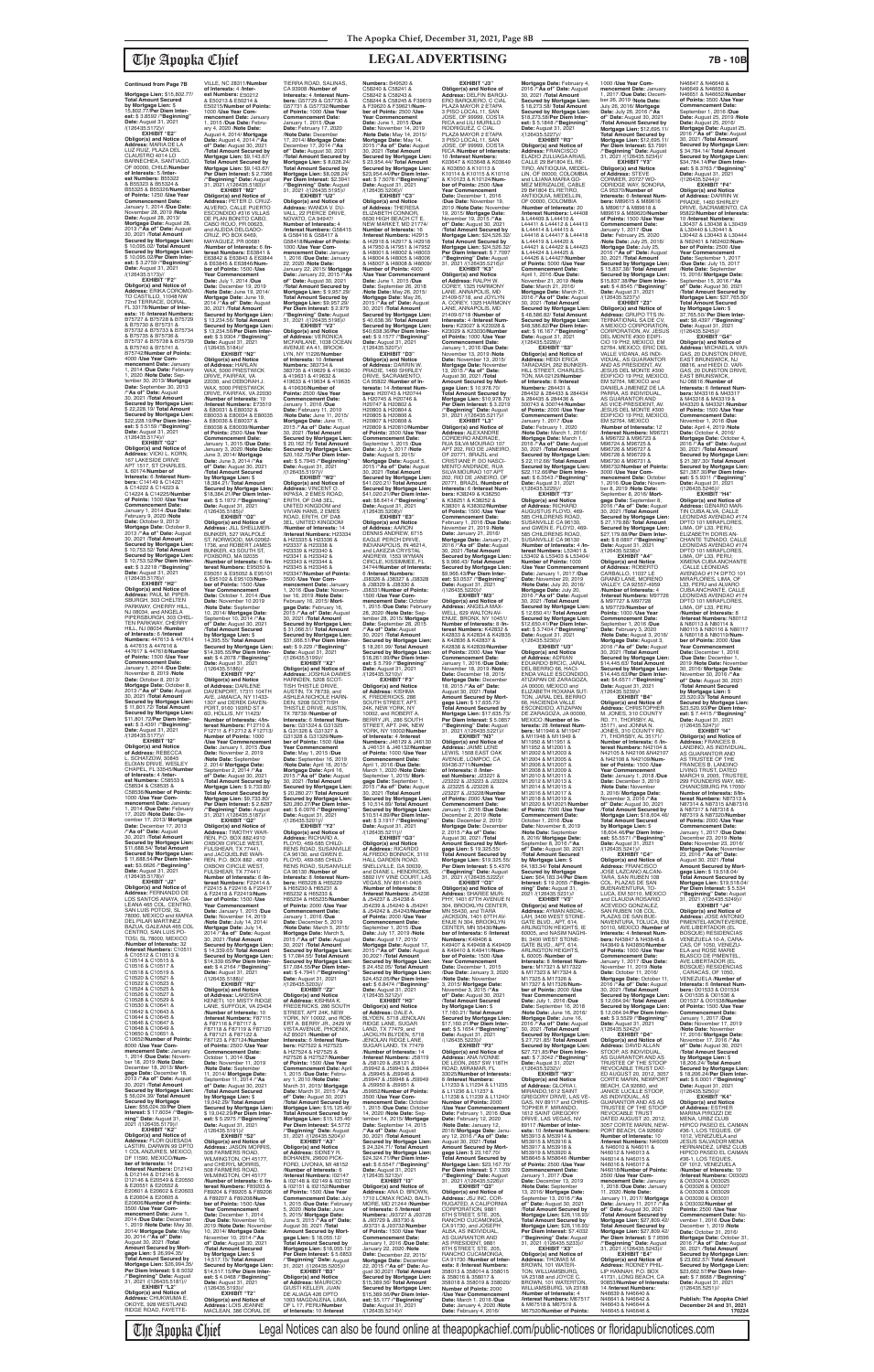The Apopka Chief Legal Notices can also be found online at theapopkachief.com/public-notices or floridapublicnotices.com

**Mortgage Lien:** \$15,802.77/ **Total Amount Secured by Mortgage Lien:** \$ 15,802.77/**Per Diem Interest:** \$ 3.8592 /"**Beginning"**<br>**Date:** August 31, 2021<br>/(126435.5172)//

## The Apopka Chief **LEGAL ADVERTISING 7B - 10B**

**EXHIBIT "E2" Obligor(s) and Notice of Address:** MARIA DE LA LUZ RUIZ, PLAZA DEL CLAUSTRO 4014 LO BARNECHEA, SANTIAGO, OF 00000, CHILE/**Number of Interests:** 5 /**Interest Numbers:** B55322 & B55323 & B55324 & B55325 & B55326/**Number of Points:** 1250 /**Use Year Commencement Date:**<br>January 1, 2014 / Due Date: January 1, 2014 /**Due Date:** November 28, 2019 /**Note Date:** August 28, 2013/ **Mortgage Date:** August 28, 2013 /**"As of" Date:** August 30, 2021 /**Total Amount Secured by Mortgage Lien:** \$ 10,095.02/ **Total Amount Secured by Mortgage Lien:** \$ 10,095.02/**Per Diem Interest:** \$ 3.2759 /**"Beginning" Date:** August 31, 2021<br>/(126435.5173)//

**EXHIBIT "G2" Obligor(s) and Notice of<br><b>Address:** VICKI L. KORN,<br>167 LAKESIDE DRIVE<br>APT 1517, ST CHARLES, IL 60174/**Number of Interests:** 6 /**Interest Numbers:** C14149 & C14221 & C14222 & C14223 & C14224 & C14225/**Number of Points:** 1500 /**Use Year Commencement Date:** January 1, 2014 /**Due Date:** February 9, 2020 /**Note Date:** October 9, 2013/ **Mortgage Date:** October 9,<br>2013 /**"As of" Date:** August<br>30, 2021 /**Total Amount Secured by Mortgage Lien:** \$ 10,753.52/ **Total Amount Secured by Mortgage Lien:** \$ 10,753.52/**Per Diem Interest:** \$ 3.2218 /**"Beginning" Date:** August 31, 2021 /(126435.5176)//<br>**"EXHIBIT "H2** 

**EXHIBIT "F2" Obligor(s) and Notice of Address:** ERIKA COROMO-TO CASTILLO, 11048 NW 72nd TERRACE, DORAL, FL 33178/**Number of Interests:** 16 /**Interest Numbers:** B75727 & B75728 & B75729 & B75730 & B75731 & B75732 & B75733 & B75734 & B75735 & B75736 & B75737 & B75738 & B75739 & B75740 & B75741 & B75742/**Number of Points:** 4000 /**Use Year Commencement Date:** January 1, 2014 /**Due Date:** February 1, 2020 /**Note Date:** September 30, 2013/ **Mortgage Date:** September 30, 2013 /**"As of" Date:** August 30, 2021 /**Total Amount Secured by Mortgage Lien:** \$ 22,228.19/ **Total Amount Secured by Mortgage Lien:** \$22,228.19/**Per Diem Inter-est:** \$ 5.5159 /**"Beginning" Date:** August 31, 2021 /(126435.5174)//

**Obligor(s) and Notice of Address:** REBECCA L. SCHATZOW, 30845 ELOIAN DRIVE, WESLEY CHAPEL, FL 33545/**Number of Interests:** 4 /**Interest Numbers:** C58533 & C58534 & C58535 & C58536/**Number of Points:** 1000 /**Use Year Commencement Date:** January 1, 2014 /**Due Date:** February 17, 2020 /**Note Date:** December 17, 2013/ **Mortgage Date:** December 17, 2013 /**"As of" Date:** August 30, 2021 /**Total Amount Secured by Mortgage Lien:** \$11,688.54/ **Total Amount Secured by Mortgage Lien:** \$ 11,688.54/**Per Diem Interest:** \$3.6626 /"**Beginning"**<br>**Date:** August 31, 2021<br>/(126435.5178)// **EXHIBIT "J2" Obligor(s) and Notice of<br>Address: FERNANDO DE Address:** FERNANDO DE<br>LOS SANTOS ANAYA, GA-<br>LEANA 465 COL. CENTRO,<br>SAN LUIS POTOSI, SL 78000, MEXICO and MARIA DEL PILAR MARTINEZ BAZUA, GALEANA 465 COL CENTRO, SAN LUIS PO-TOSI, SL 78000, MEXICO /**Number of Interests:** 32 /**Interest Numbers:** C10511 & C10512 & C10513 & C10514 & C10515 & C10516 & C10517 & C10518 & C10519 & C10520 & C10521 & C10522 & C10523 & C10524 & C10525 & C10526 & C10527 & C10528 & C10529 & C10530 & C10641 & C10642 & C10643 & C10644 & C10645 & C10646 & C10647 & C10648 & C10649 & C10650 & C10651 & C10652/**Number of Points:** 8000 /**Use Year Commencement Date:** January 1, 2014 /**Due Date:** Novem-ber 18, 2019 /**Note Date:** December 18, 2013/ **Mort-gage Date:** December 18, 2013 /**"As of" Date:** August 30, 2021 /**Total Amount Secured by Mortgage Lien:** \$ 56,024.39/ **Total Amount Secured by Mortgage Lien:** \$56,024.39/**Per Diem Interest:** \$ 17.6034 /**"Beginning" Date:** August 31,<br>2021 /(126435.5179)// **EXHIBIT "K2" Obligor(s) and Notice of Address:** FLOR QUESADA LASTIRI, DARWIN 99 DPTC 1 COL ANZURES, MEXICO, DF 11590, MEXICO/**Number of Interests:** 14<br>/**Interest Numbers:** D12143<br>& D12144 & D12145 &<br>D12146 & E20549 & E20550 & E20551 & E20552 & E20601 & E20602 & E20603 & E20604 & E20605 & E20606/**Number of Points:** 3500 /**Use Year Commencement Date:** June 1, 2014 /Due Date: Decembe 1, 2019 /**Note Date:** May 30, 2014/ **Mortgage Date:** May 30, 2014 /**"As of" Date:** August 30, 2021 /**Total Amount Secured by Mortgage Lien:** \$ 26,994.35/ **Total Amount Secured by Mortgage Lien: \$26,994.35/<br><b>Per Diem Interest: \$** 8.5032<br>/**"Beginning" Date:** August<br>31, 2021 /(126435.5181)// **EXHIBIT "L2" Obligor(s) and Notice of<br><b>Address:** CHUKWUMA E.<br>OKOYE, 928 WESTLAND<br>RIDGE ROAD, FAYETTE-

**EXHIBIT "H2" Obligor(s) and Notice of Address:** PAUL M. PIPER-SBURGH, 303 CHELTEN<br>PARKWAY, CHERRY HILL, NJ 08034, and ANGELA PIPERSBURGH, 303 CHEL-TEN PARKWAY, CHERRY HILL, NJ 08034 /**Number of Interests:** 6 /**Interest Numbers:** 447613 & 447614 & 447615 & 447616 & 447617 & 447618/**Number of Points:** 1500 /**Use Year Commencement Date:** January 1, 2014 /**Due Date:** November 8, 2019 /**Note Date:** October 8, 2013/ **Mortgage Date:** October 8, 2013 /**"As of" Date:** August 30, 2021 /**Total Amount Secured by Mortgage Lien:** \$ 11,801.72/ **Total Amount Secured by Mortgage Lien:** \$11,801.72/**Per Diem Inter-est:** \$ 3.4391 /**"Beginning" Date:** August 31, 2021 /(126435.5177)// **EXHIBIT "I2"**

VILLE, NC 28311/**Number of Interests:** 4 /**Interest Numbers:** E50212 & E50213 & E50214 & E50215/**Number of Points:** 1000 /**Use Year Commencement Date:** January 1, 2015 /**Due Date:** February 4, 2020 /**Note Date:** August 4, 2014/ **Mortgage Date:** August 4, 2014 /**"As of" Date:** August 30, 2021 /**Total Amount Secured by Mortgage Lien:** \$9,143.67/ **Total Amount Secured by Mortgage Lien: \$9,143.67/<br><b>Per Diem Interest: \$** 2.7366<br>/**"Beginning" Date:** August<br>31, 2021 /(126435.5183)// **EXHIBIT "M2" Obligor(s) and Notice of Address:** PETER D. CRUZ-ALVERIO, CALLE PUERTO ESCONDIDO #316 VILLAS DE PLAN BONITO CABO, CABO ROJO, PR 00623, and ALEIDA DELGADO-CRUZ, PO BOX 6469, MAYAGUEZ, PR 00681 /**Number of Interests:** 6 /**Interest Numbers:** E63841 & E63842 & E63843 & E63844 & E63845 & E63846/**Number of Points:** 1500 /**Use Year Commencement Date:** July 1, 2014 /**Due Date:** December 19, 2019 /**Note Date:** June 19, 2014/ **Mortgage Date:** June 19, 2014 /**"As of" Date:** August 30, 2021 /**Total Amount Secured by Mortgage Lien:** \$ 13,234.56/ **Total Amount Secured by Mortgage Lien:** \$ 13,234.56/**Per Diem Interest:** \$ 3.9304 /**"Beginning" Date:** August 31, 2021 /(126435.5184)// **EXHIBIT "N2" Obligor(s) and Notice of Address:** HARLAN WAX, 5000 PRESTWICK DRIVE, FAIRFAX, VA 22030, and DEBORAH J. WAX, 5000 PRESTWICK DRIVE, FAIRFAX, VA 22030<br>Number of Interests: 10 **/Interests:** 10<br>**/Interest Numbers**: E73519<br>& E80031 & E80032 &<br>E80033 & E80034 & E80035<br>& E80036 & E80037 & E80038 & E80039/**Number of Points:** 2500 /**Use Year Commencement Date:** January 1, 2015 /**Due Date:** January 3, 2020 /**Note Date:** June 3, 2014/ **Mortgage Date:** June 3, 2014 /**"As of" Date:** August 30, 2021 /**Total Amount Secured by Mortgage Lien:** \$ 18,384.21/ **Total Amount Secured by Mortgage Lien:** \$18,384.21/**Per Diem Interest:** \$ 5.1972 /"**Beginning"**<br>**Date:** August 31, 2021<br>/(126435.5185)// **EXHIBIT "O2" Obligor(s) and Notice of Address:** JILL SHELLMER-BUNKER, 527 WALPOLE ST, NORWOOD, MA 02062- 1736, and ROBERT JAMES BUNKER, 43 SOUTH ST, FOXBORO, MA 02035 /**Number of Interests:** 6 /**Interest Numbers:** E95050 & E95051 & E95052 & E95101 & E95102 & E95103/**Number of Points:** 1500 /**Use Year Commencement Date:** October 1, 2014 /**Due Date:** November 10 2019 /**Note Date:** Septembe 10, 2014/ **Mortgage Date:** September 10, 2014 /**"As of" Date:** August 30, 2021 /**Total Amount Secured by Mortgage Lien:** \$ 14,395.55/ **Total Amount Secured by Mortgage Lien:** \$14,395.55/**Per Diem Interest:** \$ 4.2078 /**"Beginning" Date:** August 31, 2021 /(126435.5186)//<br>**EXHIBIT** "P2" **EXHIBIT "P2"<br>
<b>Obligor(s) and Notice**<br> **of Address:** DARLENE<br>
DAVENPORT, 17311 104TH<br>
AVE, JAMAICA, NY 11433-1307 and DEREK DAVEN-PORT, 9160 193RD ST # 6D, HOLLIS, NY 11423/ **Number of Interests:** 4/**Interest Numbers:** F12710 & F12711 & F12712 & F12713/ **Number of Points:** 1000 /**Use Year Commencement Date:** January 1, 2015 /**Due Date:** November 2, 2019 /**Note Date:** September 2, 2014/ **Mortgage Date:** September 2, 2014 /**"As of" Date:** August 30, 2021 /**Total Amount Secured by Mortgage Lien:** \$ 9,733.80/ **Total Amount Secured by Mortgage Lien:** \$9,733.80/ **Per Diem Interest:** \$ 2.8287 /**"Beginning" Date:** August 31, 2021 /(126435.5187)// **EXHIBIT "Q2" Obligor(s) and Notice of Address:** TIMOTHY WAR-REN, P.O. BOX 882,4910 OXBOW CIRCLE WEST, FULSHEAR, TX 77441, and JACQUELINE WAR-REN, P.O. BOX 882 , 4910 OXBOW CIRCLE WEST, FULSHEAR, TX 77441/ **Number of Interests:** 6 /**In-terest Numbers:** F22414 & F22415 & F22416 & F22417 & F22418 & F22419/**Number of Points:** 1500 /**Use Year Commencement Date:** January 1, 2015 /**Due Date:** November 14, 2019 /**Note Date:** July 14, 2014/ **Mortgage Date:** July 14, 2014 /**"As of" Date:** August 30, 2021 /**Total Amount Secured by Mortgage Lien:** \$ 14,339.65/ **Total Amount Secured by Mortgage Lien:** \$14,339.65/**Per Diem Inter-est:** \$ 4.2164 /**"Beginning" Date:** August 31, 2021 /(126435.5188)// **EXHIBIT "R2" Obligor(s) and Notice of Address:** LAKEISHA<br>KENETI, 101 MISTY RIDGE LANE, SUFFOLK, VA 23434 /**Number of Interests:** 10 /**Interest Numbers:** F87115 & F87116 & F87117 & F87118 & F87119 & F87120 & F87121 & F87122 & F87123 & F87124/**Number of Points:** 2500 /**Use Year Commencement Date:** October 1, 2014 /**Due Date:** November 11, 2019 /**Note Date:** September 11, 2014/ **Mortgage Date:** September 11, 2014 /**"As of" Date:** August 30, 2021 /**Total Amount Secured by Mortgage Lien:** \$ 19,042.29/ **Total Amount Secured by Mortgage Lien:** \$ 19,042.29/**Per Diem Interest:** \$ 5.2975 /"**Beginning"**<br>**Date:** August 31, 2021<br>/(126435.5191)// **EXHIBIT "S2" Obligor(s) and Notice of Address:** JASON MORRIS, 508 FARMERS ROAD, WILMINGTON, OH 45177, and CHERYL MORRIS, 508 FARMERS ROAD, WILMINGTON, OH 45177 /**Number of Interests:** 6 /**Interest Numbers:** F89203 & F89204 & F89205 & F89206 & F89207 & F89208/**Number of Points:** 1500 /**Use Year Commencement Date:** December 1, 2014 /**Due Date:** November 10, 2019 /**Note Date:** November 10, 2014/ **Mortgage Date:** November 10, 2014 /**"As of" Date:** August 30, 2021 /**Total Amount Secured by Mortgage Lien:** \$ 14,517.15/ **Total Amount Secured by Mortgage Lien:** \$14,517.15/**Per Diem Interest:** \$ 4.0468 /**"Beginning" Date:** August 31, 2021 /(126435.5193)// **EXHIBIT "T2" Obligor(s) and Notice of Address:** LOIS JEANNE<br>MACLEAN, 386 CORAL DE **ber of Points:** 1500 /**Use Year Commencement Date:** May 1, 2015 /**Due Date:** September 16, 2019 /**Note Date:** April 16, 2015/

TIERRA ROAD, SALINAS, CA 93908 /**Number of Interests:** 4 /**Interest Numbers:** G57729 & G57730 & G57731 & G57732/**Number of Points:** 1000 /**Use Year Commencement Date:** January 1, 2015 /**Due Date:** February 17, 2020 /**Note Date:** December 17, 2014/ **Mortgage Date:** December 17, 2014 /**"As of" Date:** August 30, 2021 /**Total Amount Secured by Mortgage Lien:** \$ 8,028.24/ **Total Amount Secured by Mortgage Lien:** \$8,028.24/ **Per Diem Interest:** \$2.3941 /**"Beginning" Date:** August 31, 2021 /(126435.5195)//<br>**FXHIRIT "II2" EXHIBIT "U2"<br><b>Obligor(s) and Notice of**<br>**Address:** WANDA V. DU-<br>VALL, 22 PIERCE DRIVE,<br>NOVATO, CA 94947/ **Number of Interests:** 4 /**Interest Numbers:** G58415 & G58416 & G58417 & G58418/**Number of Points:** 1000 /**Use Year Commencement Date:** January 1, 2016 /**Due Date:** January 22, 2020 /**Note Date:** January 22, 2015/ **Mortgage Date:** January 22, 2015 /**"As of" Date:** August 30, 2021 /**Total Amount Secured by**  Mortgage Lien: \$ 9,957.29/<br>**Mortgage Lien: \$9,957.29/<br><b>Mortgage Lien: \$9,957.29/**<br>**Per Diem Interest: \$** 2.979<br>/**"Beginning" Date:** August<br>31, 2021 /(126435.5196)// **EXHIBIT "V2" Obligor(s) and Notice of Address:** VERONICA MCFARLANE, 1038 OCEAN AVENUE #A 41, BROOK-LYN, NY 11226/**Number of Interests:** 10 /**Interest Numbers: 383734 &<br>383735 & 419629 & 419630** 383735 & 419629 & 419630 & 419631 & 419632 & 419633 & 419634 & 419635 & 419636/**Number of Points:** 2500 /**Use Year Commencement Date:** January 1, 2016 /**Due Date:** February 11, 2010 /**Note Date:** June 11, 2015/ **Mortgage Date:** June 11, 2015 /**"As of" Date:** August 30, 2021 /**Total Amount Secured by Mortgage Lien:**<br>\$20.162.75/**Total Amount** \$ 20,162.75/ **Total Amount Secured by Mortgage Lien:** \$20,162.75/**Per Diem Inter-est:** \$ 5.7945 /**"Beginning" Date:** August 31, 2021 /(126435.5197)// **EXHIBIT "W2" Obligor(s) and Notice of Address:** VINCENT O. IKPASA, 2 EMES ROAD, ERITH, OF DA8 3EL, UNITED KINGDOM and VIVIAN HANS, 2 EMES ROAD, ERITH, OF DA8 3EL, UNITED KINGDOM /**Number of Interests:** 14 /**Interest Numbers:** H23334 & H23335 & H23336 & H23337 & H23338 & H23339 & H23340 & H23341 & H23342 & H23343 & H23344 & H23345 & H23346 & H23347/**Number of Points:** 3500 /**Use Year Commencement Date:** January 1, 2016 /**Due Date:** Novem-ber 16, 2019 /**Note Date:** February 16, 2015/ **Mortgage Date:** February 16, 2015 /**"As of" Date:** August 30, 2021 /**Total Amount Secured by Mortgage Lien:** \$ 31,066.51/ **Total Amount Secured by Mortgage Lien:** \$31,066.51/**Per Diem Inter-est:** \$ 9.229 /**"Beginning" Date:** August 31, 2021 /(126435.5199)// **EXHIBIT "X2" Obligor(s) and Notice of Address:** JOSHUA DAWES HARNDEN, 5208 SCOT-TISH THISTLE DRIVE, AUSTIN, TX 78739, and ASHLEA NICHOLE HARN-DEN, 5208 SCOTTISH THISTLE DRIVE, AUSTIN, TX 78739 /**Number of Interests:** 6 /**Interest Numbers:** G31324 & G31325 & G31326 & G31327 & G31328 & G31329/**Num-Numbers:** B49520 & C58240 & C58241 & C58242 & C58243 & **Year Commencement**  /(126435.5206)//<br>**FXHIBIT** "C3" **EXHIBIT "C3" Obligor(s) and Notice of Address:** THERESA ELIZABETH CONNOR, 6630 HIGH BEACH CT E, **Number of Interests:** 16 **Number of Points:** 4000 **Obligor(s) and Notice<br>of Address:** DARRIN W.<br>PRADIE, 1460 SHIRLEY<br>DRIVE, SACRAMENTO,<br>CA 95822 /**Number of In-**& H20745 & H20746 & H20747 & H20802 & H20803 & H20804 & H20805 & H20806 & **Commencement Date:** September 1, 2015 /**Due Date:** July 5, 2017 /**Note**  30, 2021 /**Total Amount est:** \$8.6414 /**"Beginning" Date:** August 31, 2021<br>/(126435.5208)// **Obligor(s) and Notice of Address:** AARON DENNIS ANDREW, 6715 and LAKEZIA CRYSTAL 30, 2021 /**Total Amount Date:** August 31, 2021 /(126435.5210)// **Obligor(s) and Notice of Address:** KISHMA<br>K. FREDERICKS, 286 **of Interests:** 4 /**Interest** 

**Mortgage Date:** April 16, 2015 /**"As of" Date:** August 30, 2021 /**Total Amount Secured by Mortgage Lien:** \$ 20,280.27/ **Total Amount Secured by Mortgage Lien:** \$20,280.27/**Per Diem Interest:** \$ 6.0976 /**"Beginning" Date:** August 31, 2021 /(126435.5201)// **EXHIBIT "Y2" Obligor(s) and Notice of Address:** RICHARD A. FLOYD, 469-585 CHILD-RENS ROAD, SUSANVILLE CA 96130, and GWEN E. FLOYD, 469-585 CHILD-RENS ROAD, SUSANVILLE CA 96130 /**Number of Interests:** 8 /**Interest Num-bers:** H65228 & H65229 & H65230 & H65231 & H65232 & H65233 & H65234 & H65235/**Number of Points:** 2000 /**Use Year Commencement Date:** January 1, 2016 /**Due Date:** December 5, 2019 /**Note Date:** March 5, 2015/ **Mortgage Date:** March 5, 2015 /**"As of" Date:** August 30, 2021 /**Total Amoun Secured by Mortgage Lien:** \$ 17,084.55/ **Total Amount Secured by Mortgage Lien:** \$17,084.55/**Per Diem Interest:** \$ 4.7941 /**"Beginning" Date:** August 31, 2021<br>/(126435.5203)// **EXHIBIT "Z2" Obligor(s) and Notice of Address:** KISHMA K. FREDERICKS, 286 SOUTH STREET, APT 24K, NEW YORK, NY 10002, and ROB-ERT A. BERRY JR., 2429 W VISTA AVENUE, PHOENIX, AZ 85021 /**Number of Interests:** 6 /**Interest Num-bers:** H27522 & H27523 & H27524 & H27525 & H27526 & H27527/**Number of Points:** 1500 /**Use Year Commencement Date:** April 1, 2015 /**Due Date:** February 1, 2010 /**Note Date:** March 31, 2015/ **Mortgage Date:** March 31, 2015 /**"As of" Date:** August 30, 2021 /**Total Amount Secured by Mortgage Lien:** \$15,125.46/ **Total Amount Secured by Mortgage Lien:** \$15,125.46/ **Per Diem Interest:** \$4.5772 /**"Beginning" Date:** August 31, 2021 /(126435.5204)// **EXHIBIT "A3" Obligor(s) and Notice of Address:** SIDNEY R. BOHANEN, 29600 PICK-FORD, LIVONIA, MI 48152 /**Number of Interests:** 6 /**Interest Numbers:** I02147 & I02148 & I02149 & I02150 & I02151 & I02152/**Number of Points:** 1500 /**Use Year Commencement Date:** July 1, 2015 /**Due Date:** February 5, 2020 /**Note Date:** June 5, 2015/ **Mortgage Date:** June 5, 2015 /**"As of" Date:** August 30, 2021 /**Total Amount Secured by Mortgage Lien:** \$ 18,055.12/ **Total Amount Secured by Mortgage Lien:** \$18,055.12/ **Per Diem Interest:** \$ 5.6853 /**"Beginning" Date:** August 31, 2021 /(126435.5205)// **EXHIBIT "B3" Obligor(s) and Notice of Address:** MAURICIO GIUSTI KELLER, JUAN<br>DE ALIAGA 426 DPTO<br>1003 MAGDALENA, LIMA, OF L 17, PERU/**Number of Interests:** 10 /**Interest**  /(126435.5213)//

C58244 & C58245 & F39619 & F39620 & F39621/**Num-ber of Points:** 2500 /**Use Date:** June 1, 2015 /**Due Date:** November 14, 2019 /**Note Date:** May 14, 2015/ **Mortgage Date:** May 14, 2015 /**"As of" Date:** August 30, 2021 /**Total Amount Secured by Mortgage Lien:** \$ 23,954.44/ **Total Amount Secured by Mortgage Lien:** \$23,954.44/**Per Diem Inter-est:** \$ 7.5078 /**"Beginning" Date:** August 31, 2021 NEW MARKET, MD 21774/ /**Interest Numbers:** I42915 & I42916 & I42917 & I42918 & I47950 & I47951 & I47952 & I48001 & I48002 & I48003 & I48004 & I48005 & I48006 & I48007 & I48008 & I48009/ /**Use Year Commencement Date:** June 1, 2015 /**Due Date:** September 26, 2018 /**Note Date:** May 26, 2015/ **Mortgage Date:** May 26, 2015 /**"As of" Date:** August 30, 2021 /**Total Amount Secured by Mortgage Lien:** \$ 40,638.36/ **Total Amount Secured by Mortgage Lien:** \$40,638.36/**Per Diem Interest:** \$ 9.1577 /**"Beginning"<br><b>Date:** August 31, 2021<br>/(126435.5207)//<br>**EXHIBIT "D3" terests:** 14 /**Interest Num-bers:** H20743 & H20744 H20807 & H20808 & H20809 & H20810/**Number of Points:** 3500 /**Use Year Date:** August 5, 2015/ **Mortgage Date:** August 5, 2015 /**"As of" Date:** August **Secured by Mortgage Lien:** \$41,020.21/ **Total Amount Secured by Mortgage Lien:** \$41,020.21/**Per Diem Inter-EXHIBIT "E3"** EAGLE PERCH DRIVE, INDIANAPOLIS, IN 46214, ANDREW, 1553 WYMAN<br>CIRCLE, KISSIMMEE, FL 34744/**Number of Interests:** 6 /**Interest Numbers:** J38326 & J38327 & J38328 & J38329 & J38330 & J38331/**Number of Points:** 1500 /**Use Year Commencement Date:** October 1, 2015 /**Due Date:** February 28, 2020 /**Note Date:** September 28, 2015/ **Mortgage Date:** September 28, 2015<br>/"**As of" Date:** August **Secured by Mortgage Lien:** \$ 18,261.99/ **Total Amount Secured by Mortgage Lien:** \$18,261.99/**Per Diem Inter-est:** \$ 5.799 /**"Beginning" EXHIBIT "F3"** SOUTH STREET, APT.<br>24K, NEW YORK, NY<br>10002, and ROBERT A.<br>BERRY JR., 286 SOUTH<br>STREET, APT. 24K, NEW<br>YORK, NY 10002/**Number Numbers:** J46129 & J46130 & J46131 & J46132/**Number of Points:** 1000 /**Use Year Commencement Date:** April 1, 2016 /**Due Date:** March 1, 2020 /**Note Date:** ember 1, 2015/ **Mort-**<br>**Bate:** September 1 **gage Date:** September 1, 2015 /**"As of" Date:** August 30, 2021 /**Total Amount Secured by Mortgage Lien:** \$ 10,514.89/ **Total Amount Secured by Mortgage Lien:** \$10,514.89/**Per Diem Interest:** \$ 3.1917 /"**Beginning"**<br>**Date:** August 31, 2021<br>/(126435.5211)// **EXHIBIT "G3" Obligor(s) and Notice of Address:** RICARDO ALFREDO BONNICK, 3110 HALL GARDEN ROAD, SNELLVILLE, GA 30039 and DIANE L. HENDRICKS 5892 IVY VINE COURT, LAS VEGAS, NV 89141-0405 /**Number of Interests:** 8 /**Interest Numbers:** J54236 & J54237 & J54238 & J54239 & J54240 & J54241 & J54242 & J54243/**Number of Points:** 2000 /**Use Year Commencement Date:** September 1, 2015 /**Due Date:** July 17, 2019 /**Note Date:** August 17, 2015/ **Mortgage Date:** August 17, 2015 /**"As of" Date:** August 30,2021 /**Total Amount Secured by Mortgage Lien:** \$ 24,452.05/ **Total Amount Secured by Mortgage Lien:** \$24,452.05/**Per Diem Interest:** \$ 6.8474 /"**Beginning"**<br>**Date:** August 31, 2021<br>/(126435.5212)// **EXHIBIT "H3" Obligor(s) and Notice of Address:** DALE A. BLYDEN, 5718 JENOLAN RIDGE LANE, SUGAR LAND, TX 77479, and JACKLYN BLYDEN, 5718 JENOLAN RIDGE LANE,<br>SUGAR LAND, TX 77479 /**Number of Interests:** 14 /**Interest Numbers:** J58119 & J58120 & J58121 & J59942 & J59943 & J59944 & J59945 & J59946 & J59947 & J59948 & J59949 & J59950 & J59951 & J59952/**Number of Points:** 3500 /**Use Year Com-mencement Date:** October 1, 2015 /**Due Date:** Octobe 14, 2020 /**Note Date:** September 14, 2015/ **Mortgage Date:** September 14, 2015 /**"As of" Date:** August 30, 2021 /**Total Amount Secured by Mortgage Lien:** \$ 24,324.71/ **Total Amount Secured by Mortgage Lien:** \$24,324.71/**Per Diem Inter-est:** \$ 6.5547 /**"Beginning" Date:** August 31, 2021 **EXHIBIT "I3" Obligor(s) and Notice of Address:** ANA D. BROWN, 1710 LOMAX ROAD, BALTI-MORE, MD 21244 /**Number of Interests:** 6 /**Interest Numbers:** J93727 & J93728 & J93729 & J93730 & J93731 & J93732/**Number of Points:** 1500 /**Use Year Commencement Date:** January 1, 2016 /**Due Date:** January 22, 2020 /**Note Date:** December 22, 2015/ **Mortgage Date:** December 22, 2015 /**"As of" Date:** August 30,2021 /**Total Amount Secured by Mortgage Lien:** \$15,389.56/ **Total Amount Secured by Mortgage Lien:** \$15,389.56/**Per Diem Inter-est:** \$5,177 /**"Beginning" Date:** August 31, 2021<br>/(126435.5214)// **EXHIBIT "J3" Obligor(s) and Notice of Address:** DELFIN BARQU-ERO BARQUERO, C CIAL PLAZA MAYOR 2 ETAPA 3 PISO LOCAL 11, SAN JOSE, OF 99999, COSTA RICA and LILI MURILLO RODRIGUEZ, C CIAL PLAZA MAYOR 2 ETAPA<br>3 PISO LOCAL 11, SAN<br>JOSE, OF 99999, COSTA<br>RICA /**Number of Interests:** 10 /**Interest Numbers:** K03647 & K03648 & K03649 & K03650 & K10113 & K10114 & K10115 & K10116 & K10123 & K10124/**Number of Points:** 2500 /**Use Year Commencement Date:** December 1, 2016 /**Due Date:** November 19, 2019 /**Note Date:** November 19, 2015/ **Mortgage Date:** November 19, 2015 /**"As of" Date:** August 30, 2021 /**Total Amount Secured by Mortgage Lien:** \$24,526.32/ **Total Amount Secured by Mortgage Lien:** \$24,526.32/ **Per Diem Interest:** \$ 7.7097 /**"Beginning" Date:** August 31, 2021 /(126435.5216)// **EXHIBIT "K3" Obligor(s) and Notice of Address:** RALPH W. COREY, 1325 HARMONY LANE, ANNAPOLIS, MD 21409-5718, and JOYLYN A. COREY, 1325 HARMONY LANE, ANNAPOLIS, MD 21409-5718 /**Number of Interests:** 4 /**Interest Numbers:** K23027 & K23028 & K23029 & K23030/**Number of Points:** 1000 /**Use Year Commencement Date:** January 1, 2016 /**Due Date:** November 13, 2019 /**Note Date:** November 13, 2015/ **Mortgage Date:** November 13, 2015 /**"As of" Date:** August 30, 2021 /**Total Amount Secured by Mort-gage Lien:** \$ 10,978.70/ **Total Amount Secured by Mortgage Lien: \$10,978.70/<br><b>Per Diem Interest: \$** 3.2219<br>**"Beginning" Date:** August<br>31, 2021 /(126435.5217)//<br>**EXHIBIT "L3" Obligor(s) and Notice of Address:** ALEXANDRE CORDEIRO ANDRADE, RUA SILVA MOURAO 107 APT 202, RIO DE JANEIRO, OF 20771, BRAZIL and<br>CRISTIANE P. DO NASCI-MENTO ANDRADE, RUA SILVA MOURAO 107 APT 202, RIO DE JANEIRO, OF 20771, BRAZIL /**Number of Interests:** 6 /**Interest Num-bers:** K38249 & K38250 & K38251 & K38252 & K38301 & K38302/**Number of Points:** 1500 /**Use Year Commencement Date:** February 1, 2016 /**Due Date:** November 21, 2019 /**Note Date:** January 21, 2016/ **Mortgage Date:** January 21, 2016 /**"As of" Date:** August 30, 2021 /**Total Amount Secured by Mortgage Lien:** \$ 9,966.43/ **Total Amount Secured by Mortgage Lien:** \$9,966.43/**Per Diem Inter-est:** \$3.0537 /**"Beginning" Date:** August 31, 2021 /(126435.5220)// **EXHIBIT "M3" Obligor(s) and Notice of Address:** ANGELA MAX-WELL, 629 WALTON AV ENUE, BRONX, NY 10451/ **Number of Interests:** 8 /**In-terest Numbers:** K42832 & K42833 & K42834 & K42835 & K42836 & K42837 & K42838 & K42839/**Number of Points:** 2000 /**Use Year Commencement Date:** January 1, 2016 /**Due Date:** November 18, 2019 /**Note Date:** December 18, 2015/ **Mortgage Date:** December<br>18, 2015 /**"As of" Date:**<br>August 30, 2021 /**Total**<br>**Amount Secured by Mortgage Lien:** \$ 17,635.73/ **Total Amount Secured by Mortgage Lien:** \$17,635.73/ **Per Diem Interest:** \$ 5.0857 /**"Beginning" Date:** August 31, 2021 /(126435.5221)// **EXHIBIT "N3" Obligor(s) and Notice of Address:** JAIME LENE LEWIS, 1508 EAST OAK AVENUE, LOMPOC, CA 93436-3711/**Number of Interests:** 8 /**Interest Numbers:** J23221 & J23222 & J23223 & J23224 & J23225 & J23226 & J23227 & J23228/**Number of Points:** 2000 /**Use Year Commencement Date:** January 1, 2016 /**Due Date:** December 2, 2019 /**Note Date:** December 2, 2015/ **Mortgage Date:** December 2, 2015 /**"As of" Date:** August 30, 2021 /**Total Amount Secured by Mort-gage Lien:** \$ 19,325.55/ **Total Amount Secured by Mortgage Lien:** \$19,325.55/ **Per Diem Interest:** \$ 5.4376 /**"Beginning" Date:** August 31, 2021 /(126435.5222)// **EXHIBIT "O3" Obligor(s) and Notice of Address:** SHAREE MUR-PHY, 1401 67TH AVENUE N 304, BROOKLYN CENTER, MN 55430, and TIARA<br>JACKSON, 1401 67TH AV-JACKSON, 1401 67TH AV-ENUE N 304, BROOKLYN CENTER, MN 55430/**Number of Interests:** 6 /**Interest Numbers:** K49406 & K49407 & K49408 & K49409 & K49410 & K49411/**Number of Points:** 1500 /**Use Year Commencement Date:** December 1, 2015 /**Due Date:** January 3, 2020 /**Note Date:** November 3, 2015/ **Mortgage Date:** November 3, 2015 /**"As of" Date:** August 30, 2021 /**Total Amount Secured by Mortgage Lien:** \$ 17,160.21/ **Total Amount Secured by Mortgage Lien:** \$17,160.21/**Per Diem Inter-est:** \$ 5.1654 /**"Beginning" Date:** August 31, 2021 /(126435.5223)// **EXHIBIT "P3" Obligor(s) and Notice of<br><b>Address:** ANA IVONNE<br>DE LEON, 2657 SW 118TH<br>ROAD, MIRAMAR, FL 33025/**Number of Interests:** 8 /**Interest Numbers:** L11233 & L11234 & L11235 & L11236 & L11237 & L11238 & L11239 & L11240/ **Number of Points:** 2000 /**Use Year Commencement Date:** February 1, 2016 /**Due Date:** February 12, 2020 /**Note Date:** January 12, 2016/ **Mortgage Date:** Janu-ary 12, 2016 /**"As of" Date:** August 30, 2021 /**Total Amount Secured by Mortgage Lien:** \$ 23,167.70/ **Total Amount Secured by Mortgage Lien:** \$23,167.70/ **Per Diem Interest:** \$ 7.1309 /**"Beginning" Date:** August 31, 2021 /(126435.5226)// **EXHIBIT "Q3" Obligor(s) and Notice of Address:** JSJ INC. COR-RUGATED, A CALIFORNIA CORPORATION, 9881 6TH STREET, STE. 205, RANCHO CUCAMONGA,<br>CA 91730, and JOSEPH<br>ALBA, AS INDIVIDUAL,<br>AS GUARANTOR AND AS PRESIDENT, 9881 6TH STREET, STE. 205, RANCHO CUCAMONGA, CA 91730 /**Number of Inter-ests:** 8 /**Interest Numbers:** ests: 8 /Interest Numbers:<br>358013 & 358014 & 358015 & 358016 & 358017 & 358018 & 358019 & 358020/ **Number of Points:** 2000 /**Use Year Commencement Date:** March 1, 2016 /**Due Date:** January 4, 2020 /**Note Date:** February 4, 2016/ M67520/**Number of Points:**

**Mortgage Date:** February 4, 2016 /**"As of" Date:** August 30, 2021 /**Total Amount Secured by Mortgage Lien:** \$ 18,273.58/ **Total Amount Secured by Mortgage Lien:** \$18,273.58/**Per Diem Interest:** \$ 5.1848 /**"Beginning" Date:** August 31, 2021 /(126435.5227)// **EXHIBIT "R3" Obligor(s) and Notice of Address:** FRANCISCO ELADIO ZULUAGA ARIAS, CALLE 29 B#1804 EL RE-TIRO, ANTIOQUIA, MEDEL-LIN, OF 00000, COLOMBIA and LILIANA MARIA GO-MEZ MERIZALDE, CABLE 29 B#1804 EL RETIRO, ANTIOQUIA, MEDELLIN, OF 00000, COLOMBIA<br>/**Number of Interests:** 20<br>/**Interest Numbers:** L44408<br>& L44409 & L44410 & L44411 & L44412 & L44413 & L44414 & L44415 & L44416 & L44417 & L44418 & L44419 & L44420 & L44421 & L44422 & L44423 & L44424 & L44425 & L44426 & L44427/**Numbe of Points:** 5000 /**Use Year Commencement Date:** April 1, 2016 /**Due Date:** November 21, 2019 /**Note Date:** March 21, 2016/ **Mortgage Date:** March 21, 2016 /**"As of" Date:** August 30, 2021 /**Total Amount Secured by Mortgage Lien:** \$ 48,586.82/ **Total Amount Secured by Mortgage Lien:** \$48,586.82/**Per Diem Inter-est:** \$ 16.167 /**"Beginning" Date:** August 31, 2021 /(126435.5228)// **EXHIBIT "S3" Obligor(s) and Notice of Address:** HEIDI ERICA TARADASH, 262 BUNKER-HILL STREET, CHARLES-TON, MA 02129/**Number of Interests:** 8 /**Interest Numbers:** 284431 & 284432 & 284433 & 284434 & 284435 & 284436 & 300743 & 300744/**Number of Points:** 2000 /**Use Year Commencement Date:** January 1, 2017 /**Due Date:** February 1, 2020 /**Note Date:** March 1, 2016/ **Mortgage Date:** March 1, 2016 /**"As of" Date:** August 30, 2021 /**Total Amount Secured by Mortgage Lien:** \$ 22,112.66/ **Total Amount Secured by Mortgage Lien:** \$22,112.66/**Per Diem Inter-est:** \$ 6.3543 /**"Beginning" Date:** August 31, 2021 /(126435.5229)// **EXHIBIT "T3" Obligor(s) and Notice of Address:** RICHARD AUGUSTUS FLOYD, 469- 585 CHILDRENS ROAD, SUSANVILLE CA 96130,<br>and GWEN E. FLOYD, 469-585 CHILDRENS ROAD, SUSANVILLE CA 96130 /**Number of Interests:** 4 /**In-terest Numbers:** L53401 & L53402 & L53403 & L53404/ **Number of Points:** 1000 /Use Year Commencemen **Date:** January 1, 2017 /**Due Date:** November 20, 2019 /**Note Date:** July 20, 2016/ **Mortgage Date:** July 20, 2016 /**"As of" Date:** August 30, 2021 /**Total Amount Secured by Mortgage Lien:** \$ 12,650.41/ **Total Amount Secured by Mortgage Lien:** \$12,650.41/**Per Diem Inter-est:** \$ 3.7404 /**"Beginning" Date:** August 31, 2021<br>/(126435.5230)// **EXHIBIT "U3"**

**Obligor(s) and Notice of Address:** ADRIAN EDUARDO BRCIC, JARAL DEL BERRIO 66, HACI-<br>ENDA VALLE ESCONDIDO ENDA VALLE ESCONDIDO,<br>ATIZAPAN DE ZARAGOZA,<br>JA 00000, MEXICO and<br>ELIZABETH ROXANA SUT-<br>TON, JARAL DEL BERRIO 66, HACIENDA VALLE ESCONDIDO, ATIZAPAN<br>DE ZARAGOZA, JA 00000, MEXICO /**Number of Interests:** 28 /**Interest Num-bers:** M11946 & M11947 & M11948 & M11949 &

M11950 & M11951 & M11952 & M12001 & M12002 & M12003 & M12004 & M12005 & M12006 & M12007 & M12008 & M12009 & M12010 & M12011 & M12012 & M12013 & M12014 & M12015 & M12016 & M12017 & M12018 & M12019 & M12020 & M12021/**Number of Points:** 7000 /**Use Year Commencement Date:** October 1, 2016 /**Due Date:** November 8, 2019 /**Note Date:** September 8, 2016/ **Mortgage Date:** September 8, 2016 /**"As of" Date:** August 30, 2021 /**Total Amount Secured by Mortgage Lien:** \$ 64,183.34/ **Total Amount Secured by Mortgage Lien:** \$64,183.34/**Per Diem Interest:** \$ 19.2055 /**"Begin-ning" Date:** August 31, 2021 /(126435.5231)// **EXHIBIT "V3" Obligor(s) and Notice of Address:** AYMAN ABDAL-LAH, 3400 WEST STONE-GATE BLVD., APT. 614, ARLINGTON HEIGHTS 60005, and NASIM NAGHI BI, 3400 WEST STONE-GATE BLVD., APT. 614,<br>ARLINGTON HEIGHTS, IL 60005 /**Number of Interests:** 8 /**Interest Num-bers:** M17321 & M17322 & M17323 & M17324 & M17325 & M17326 & M17327 & M17328/**Number of Points:** 2000 /**Use Year Commencement Date:** July 1, 2016 /**Due Date:** September 16, 2018 /**Note Date:** June 16, 2016/ **Mortgage Date:** June 16, 2016 /**"As of" Date:** August 30, 2021 /**Total Amount Secured by Mortgage Lien:** \$ 27,721.85/ **Total Amount Secured by Mortgage Lien:** \$27,721.85/**Per Diem Inter-est:** \$ 7.3042 /**"Beginning" Date:** August 31, 2021 /(126435.5232)// **EXHIBIT "W3"<br><b>Obligor(s) and Notice**<br>**of Address:** GLORIA I.<br>MIRANDO,1612 SAINT<br>GREGORY DRIVE, LAS VE-<br>GAS, NV 89117 and CHRIS-TOPHER F. MIRANDO, 1612 SAINT GREGORY DRIVE, LAS VEGAS, NV 89117 /**Number of Inter-ests:** 10 /**Interest Numbers:** M53913 & M53914 & M53915 & M53916 & M53917 & M53918 &<br>M53919 & M53920 & M53919 & M53920 & M58645 & M58646 /**Number of Points:** 2500 /**Use Year Commencement Date:** January 1, 2017 /**Due Date:** December 13, 2019 /**Note Date:** September 13, 2016/ **Mortgage Date:** September 13, 2016 /**"As of" Date:** August 30, 2021 /**Total Amount Secured by Mortgage Lien:** \$26,116.93/ **Total Amount Secured by Mortgage Lien:** \$26,116.93/ **Per Diem Interest:** \$7.4032 /**"Beginning" Date:** August 31, 2021 /(126435.5233)// **EXHIBIT "X3" Obligor(s) and Notice of<br><b>Address:** THOMAS M.<br>BROWN, 101 WATER-<br>TON, WILLIAMSBURG, VA 23188 and JOYCE C. BROWN, 101 WATERTON, WILLIAMSBURG, VA 23188 /**Number of Interests:** 4 /**Interest Numbers:** M67517 & M67518 & M67519 &

1000 /**Use Year Commencement Date:** January 1, 2017 /**Due Date:** Decem-ber 26, 2019 /**Note Date:** July 26, 2016/ **Mortgage Date:** July 26, 2016 /**"As of" Date:** August 30, 2021 /**Total Amount Secured by Mortgage Lien:** \$12,695.11/ **Total Amount Secured by Mortgage Lien:** \$12,695.11/ **Per Diem Interest:** \$3.7991 /**"Beginning" Date:** August 31, 2021 /(126435.5234)// **EXHIBIT "Y3" Obligor(s) and Notice<br><b>of Address:** STEVE<br>CORMIER, 20727 WO-<br>ODRIDGE WAY, SONORA, CA 95370/**Number of Interests:** 6 /**Interest Numbers:** M89615 & M89616 & M89617 & M89618 & M89619 & M89620/**Number of Points:** 1500 /**Use Year Commencement Date:** January 1, 2017 /**Due Date:** February 25, 2020<br>/**Note Date:** July 25, 2016/<br>**Mortgage Date:** July 25,<br>2016 /**"As of" Date:** August 30, 2021 /**Total Amount Secured by Mortgage Lien:** \$ 15,837.38/ **Total Amount Secured by Mortgage Lien:** \$15,837.38/**Per Diem Inter-est:** \$ 4.8545 /**"Beginning" Date:** August 31, 2021<br>/(126435.5237)// **EXHIBIT "Z3" Obligor(s) and Notice of Address:** GRUPO TTS IN-TERNATIONAL SA DE CV, A MEXICO CORPORATION, CORPORATION, AV. JESUS DEL MONTE #300 EDIFI-CIO 19 PH2, MEXICO, EM 52764, MEXICO; ERIC DEL VALLE VIDANA, AS INDI-VIDUAL, AS GUARANTOR AND AS PRESIDENT, AV. JESUS DEL MONTE #300 EDIFICIO 19 PH2, MEXICO, EM 52764, MEXICO and DANIELA JIMENEZ DE LA PARRA, AS INDIVIDUAL,<br>AS GUARANTOR AND AS VICE-PRESIDENT, AV.<br>JESUS DEL MONTE #300<br>EDIFICIO 19 PH2, MEXICO,<br>EM 52764, MEXICO /**Number of Interests:** 12 /**Interest Numbers:** M96721 & M96722 & M96723 & M96724 & M96725 & M96726 & M96727 & M96728 & M96729 & M96730 & M96731 & M96732/**Number of Points:** 3000 /**Use Year Commencement Date:** October 1, 2016 /**Due Date:** November 8, 2019 /**Note Date:** September 8, 2016/ **Mortgage Date:** September 8, 2016 /**"As of" Date:** August 30, 2021 /**Total Amount Secured by Mortgage Lien:** \$ 27,179.88/ **Total Amount Secured by Mortgage Lien:** \$27,179.88/**Per Diem Interest:** \$ 8.0897 /**"Beginning"<br><b>Date:** August 31, 2021<br>/(126435.5238)//<br>**EXHIBIT "A4" Obligor(s) and Notice of Address:** ROBERTO<br>CARBALLO, 11037 LE<br>GRAND LANE, MORENO VALLEY, CA 92557-4959 /**Number of Interests:** 4 /**Interest Numbers:** M97726 & M97727 & M97728 & M97729/**Number of**  Points: 1000 /**Use Year Commencement Date:**

September 1, 2016 /**Due Date:** February 3, 2020 /**Note Date:** August 3, 2016/ **Mortgage Date:** August 3, 2016 /**"As of" Date:** August 30, 2021 /**Total Amount Secured by Mortgage Lien:** \$14,445.63/ **Total Amount Secured by Mortgage Lien:** \$14,445.63/**Per Diem Interest:** \$4.6571 /**"Beginning"<br><b>Date:** August 31, 2021<br>/(126435.5239)//<br>**EXHIBIT "B4" Obligor(s) and Notice of** 

**Address:** CHRISTOPHER M. JONES, 310 COUNTY RD. 71, THORSBY, AL 35171, and JONNA N. JONES, 310 COUNTY RD. 71, THORSBY, AL 35171/ **Number of Interests:** 6 *l*In-<br>**terest Numbers:** N42104 &<br>N42105 & N42106 &N42107 & N42108 & N42109/**Number of Points:** 1500 /**Use Year Commencement Date:** January 1, 2018 /**Due Date:** December 3, 2019

/**Note Date:** November 3, 2016/ **Mortgage Date:** November 3, 2016 /**"As of" Date:** August 30, 2021 /**Total Amount Secured by Mortgage Lien:** \$18,604.46/ **Total Amount Secured by Mortgage Lien:** \$ 18,604.46/**Per Diem Interest:** \$5.5571 /**"Beginning" Date:** August 31, 2021<br>/(126435.5241)// **EXHIBIT "C4" Obligor(s) and Notice of Address:** FRANCISCO JOSE LAZCANO ALCAN-TARA, SAN RUBEN 108<br>COL PLAZAS DE SAN COL. PLAZAS DE SAN BUENAVENTURA, TO-LUCA, EM 50110, MEXICO and CLAUDIA ROSARIO ACEVEDO GONZALEZ, SAN RUBEN 108 COL. PLAZAS DE SAN BUE-NAVENTURA, TOLUCA, EM 50110, MEXICO /**Number of Interests:** 4 /**Interest Numbers:** N43847 & N43848 & N43849 & N43850/**Number of Points:** 1000 /**Use Year Commencement Date:** January 1, 2017 /**Due Date:** November 11, 2019 /**Note Date:** October 11, 2016/ **Mortgage Date:** October 11,<br>2016 /**"As of" Date:** August<br>30, 2021 /**Total Amount Secured by Mortgage Lien:** \$ 12,064.94/ **Total Amount Secured by Mortgage Lien:** \$ 12,064.94/**Per Diem Interest:** \$ 3.5529 /**"Beginning" Date:** August 31, 2021 /(126435.5242)// **EXHIBIT "D4" Obligor(s) and Notice of Address:** DAVID ALLAN STOOP, AS INDIVIDUAL, AS GUARANTOR AND AS TRUSTEE OF THE STOOP REVOCABLE TRUST DAT-ED AUGUST 20, 2012, 3057 CORTE MARIN, NEWPORT BEACH, CA 92660, and JANICE LUCILLE STOOP, AS INDIVIDUAL, AS GUARANTOR AND AS AS TRUSTEE OF THE STOOP REVOCABLE TRUST DATED AUGUST 20, 2012, 3057 CORTE MARIN, NEW-PORT BEACH, CA 92660/ **Number of Interests:** 10 /**Interest Numbers:** N46009 & N46010 & N46011 & N46012 & N46013 & N46014 & N46015 & N46016 & N46017 & N46018/**Number of Points:** 2500 /**Use Year Com-mencement Date:** January 1, 2018 /**Due Date:** January 11, 2020 /**Note Date:** January 11, 2017/ **Mortgage Date:** January 11, 2017 /**"As of" Date:** August 30, 2021 /**Total Amount Secured by Mortgage Lien:** \$27,809.42/ **Total Amount Secured by Mortgage Lien:** \$27,809.42/ **Per Diem Interest:** \$ 7.9596 /**"Beginning" Date:** August 31, 2021 /(126435.5243)// **EXHIBIT "E4" Obligor(s) and Notice of Address:** RODNEY PHIL-LIP HANNAH, P.O. BOX 41731, LONG BEACH, CA 90853/**Number of Interests:** 14 /**Interest Numbers:** N46639 & N46640 & N46641 & N46642 & N46643 & N46644 & N46645 & N46646 &

N46647 & N46648 & N46649 & N46650 & N46651 & N46652/**Numbe of Points:** 3500 /**Use Year Commencement Date:** September 1, 2016 /**Due Date:** August 25, 2019 /**Note Date:** August 25, 2016/ **Mortgage Date:** August 25, 2016 /**"As of" Date:** August 30, 2021 /**Total Amount Secured by Mortgage Lien:** \$ 34,784.14/ **Total Amount Secured by Mortgage Lien:** \$34,784.14/**Per Diem Interest:** \$ 8.3763 /"**Beginning"**<br>**Date:** August 31, 2021<br>/(126435.5244)// **EXHIBIT "F4"**

**Obligor(s) and Notice of Address:** DARRIN W. PRADIE, 1460 SHIRLEY DRIVE, SACRAMENTO, CA 95822/**Number of Interests:** 10 /**Interest Numbers:** L30437 & L30438 & L30439 & L30440 & L30441 & L30442 & L30443 & L30444 & N62401 & N62402/**Num-ber of Points:** 2500 /**Use Year Commencement Date:** September 1, 2017 /**Due Date:** July 15, 2017 /**Note Date:** September 15, 2016/ **Mortgage Date:** September 15, 2016 /**"As of" Date:** August 30, 2021 /**Total Amount Secured by Mortgage Lien:** \$37,765.50/ **Total Amount Secured by Mortgage Lien:** \$ 37,765.50/ **Per Diem Interest:** \$8,4397 /**"Beginning" Date:** August 31, 2021<br>/(126435.5245)// **EXHIBIT "G4" Obligor(s) and Notice of Address:** MICHAEL A. VAR-GAS, 20 DUNSTON DRIVE, EAST BRUNSWICK, NJ 08816, and HIEDI D. VAR-GAS, 20 DUNSTON DRIVE EAST BRUNSWICK, NJ 08816 /**Number of Interests:** 6 /**Interest Numbers:** M43316 & M43317 & M43318 & M43319 & M43320 & M43321/**Number of Points:** 1500 /**Use Year Commencement Date:** November 1, 2016 /**Due Date:** April 4, 2019 /**Note Date:** October 4, 2016/ **Mortgage Date:** October 4, 2016 /**"As of" Date:** August 30, 2021 /**Total Amount Secured by Mortgage Lien:** \$ 21,387.30/ **Total Amount Secured by Mortgage Lien:** \$21,387.30/**Per Diem Inter-est:** \$ 5.9311 /**"Beginning" Date:** August 31, 2021 /(126435.5246)// **EXHIBIT "H4"**

**Obligor(s) and Notice of Address:** GENARO MAR-TIN CUBA ALVA, CALLE LEONIDAS AVENDAO #174 DPTO 101 MIRAFLORES, LIMA, OF L33, PERU; ELIZABETH DORIS AN-<br>CHANTE TIZNADO, CALLE<br>LEONIDAS AVENDAO #174<br>DPTO 101 MIRAFLORES,<br>LIMA, OF L33, PERU;<br>XIMENA CUBA ANCHANTE , CALLE LEONIDAS AVENDAO #174 DPTO 101 MIRAFLORES, LIMA, OF L33, PERU and ALVARO CUBA ANCHANTE, CALLE<br>LEONIDAS AVENDAO #174 DPTO 101 MIRAFLORES,<br>LIMA OF L33 PERU LIMA, OF L33, PERU<br>**/Number of Interests:** 8<br>**/Interest Numbers:** N80112 & N80113 & N80114 & N80115 & N80116 & N80117 & N80118 & N80119/**Number of Points:** 2000 /**Use Year Commencement Date:** December 1, 2016 /**Due Date:** December 1, 2019 /**Note Date:** November 30, 2016/ **Mortgage Date:** November 30, 2016 /**"As of" Date:** August 30, 2021 /**Total Amount Secured by Mortgage Lien:** \$ 23,520.93/ **Total Amount Secured by Mortgage Lien:** \$23,520.93/**Per Diem Inter-est:** \$ 7.4415 /**"Beginning" Date:** August 31, 2021

/(126435.5247)// **EXHIBIT "I4" Obligor(s) and Notice of Address:** FRANCES B. LANDINO, AS INDIVIDUAL, AS GUARANTOR AND AS TRUSTEE OF THE FRANCES B. LANDINO LIVING TRUST, DATED MARCH 9, 2005, TRUSTEE, 299 FOUNDERS WAY, ME-CHANICSBURG PA 17050/ **Number of Interests:** 8/**Interest Numbers:** N87313 & N87314 & N87315 &N87316 & N87317 & N87318 & N87319 & N87320/**Number of Points:** 2000 /**Use Year Commencement Date:** January 1, 2017 /**Due Date:** December 23, 2019 /**Note Date:** November 23, 2016/ **Mortgage Date:** November 23, 2016 /**"As of" Date:** August 30, 2021 /**Total Amount Secured by Mortgage Lien:** \$ 19,518.04/ **Total Amount Secured by Mortgage Lien:** \$19,518.04/ **Per Diem Interest:** \$ 5.534 /**"Beginning" Date:** August 31, 2021 /(126435.5249)// **EXHIBIT "J4" Obligor(s) and Notice of Address:** JOSE ANTONIO PIMENTEL-MONTEVERDE AVE.LIBERTADOR (EL BOSQUE) RESIDENCIAS VENEZUELA 10-A, CARA-CAS, OF 1050, VENEZU-ELA and ROSE MARIE<br>BLASCO DE PIMENTEL,<br>AVE.LIBERTADOR (EL<br>BOSQUE) RESIDENCIAS , CARACAS, OF 1050, VENEZUELA /**Number of Interests:** 6 /**Interest Numbers:** O01533 & O01534 & O01535 & O01536 & O01537 & O01538/**Number of Points:** 1500 /**Use Year Commencement Date:** January 1, 2017 /**Due Date:** November 17, 2019 /**Note Date:** November 17, 2016/ **Mortgage Date:** November 17, 2016 /**"As of" Date:** August 30, 2021 /**Total Amount Secured by Mortgage Lien:** \$ 18,206.24/ **Total Amount Secured by Mortgage Lien:** \$ 18,206.24/**Per Diem Interest:** \$ 6.0001 /**"Beginning" Date:** August 31, 2021 /(126435.5250)// **EXHIBIT "K4" Obligor(s) and Notice of Address:** ESTHER MARINA PIROZZI DE MENA, URBZ CLUB<br>HIPICO PASEO EL CAIMAN<br>#36-1, LOS TEQUES, OF 1012, VENEZUELA and JESUS SALVADOR MENA HERNANDEZ, URBZ CLUB HIPICO PASEO EL CAIMAN #36-1, LOS TEQUES, OF 1012, VENEZUELA /**Number of Interests:** 10 /**Interest Numbers:** O03023 & O03024 & O03025 & O03026 & O03027 & O03028 & O03029 & O03030 & O03031 & O03032/**Number of Points:** 2500 /**Use Year Commencement Date:** November 1, 2016 /**Due Date:** December 1, 2019 /**Note Date:** October 31, 2016/ **Mortgage Date:** October 31,<br>2016 /**"As of" Date:** August<br>30, 2021 /**Total Amount Secured by Mortgage Lien:** \$ 23,662.57/ **Total Amount Secured by Mortgage Lien:** \$23,662.57/**Per Diem Interest:** \$ 7.8688 /**"Beginning" Date:** August 31, 2021 /(126435.5251)//

**Publish: The Apopka Chief December 24 and 31, 2021 170224**

**Continued from Page 7B**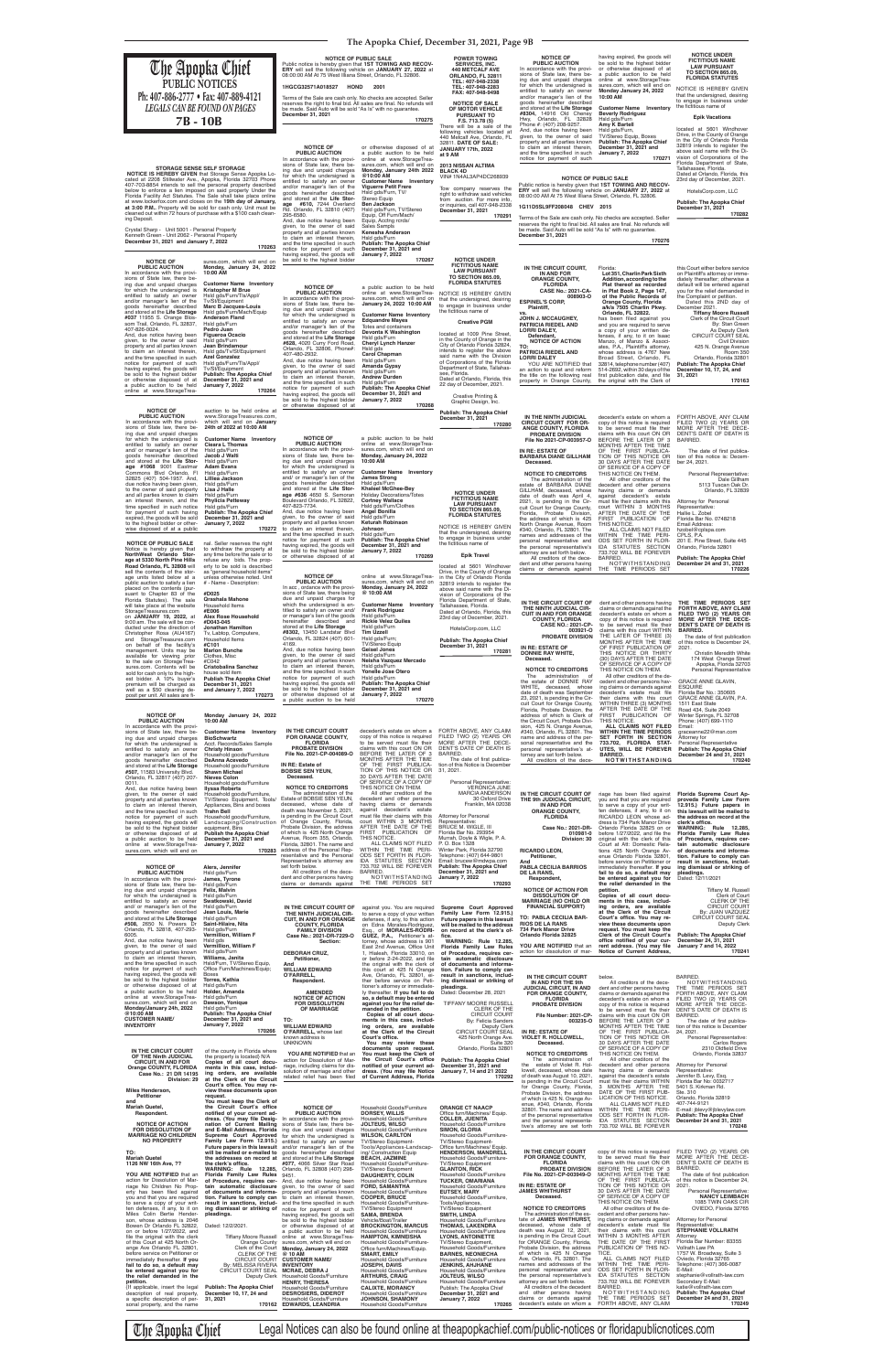**The Apopka Chief, December 31, 2021, Page 9B**

**NOTICE TO CREDITORS** The administration of the estate of DONNIE RAY WHITE**,** deceased, whose date of death was September 23, 2021, is pending in the Cir-cuit Court for Orange County, Florida, Probate Division, the address of which is Clerk of<br>sion, 425 N. Orange Avenue,<br>#340, Orlando, FL 32801. The<br>name and address of the per-<br>sonal representative and the personal representative's attorney are set forth below. All creditors of the dece-

ing claims or demands against<br>decedent's estate must file<br>their claims with this court<br>WITHIN THREE (3) MONTHS<br>AFTER THE DATE OF THE<br>FIRST PUBLICATION OF THIS NOTICE.<br>ALL CLAIMS NOT FILED **ALL CLAIMS NOT FILED**<br> **WITHIN THE TIME PERIODS<br>
<b>SET FORTH IN SECTION<br>
733.702, FLORIDA STAT-<br>
UTES, WILL BE FOREVER<br>
BARRED.<br>
BOTWITHSTANDING** 

**IN THE CIRCUIT COURT OF THE NINTH JUDICIAL CIR-CUIT IN AND FOR ORANGE COUNTY, FLORIDA CASE NO.: 2021-CP-003921-O PROBATE DIVISION IN RE: ESTATE OF DONNIE RAY WHITE, Deceased.** dent and other persons having claims or demands against the decedent's estate on whom a copy of this notice is required<br>to be served must file their<br>claims with this court WITHIN<br>THE LATER OF THREE (3)<br>MONTHS AFTER THE TIME<br>OF FIRST PUBLICATION OF THIS NOTICE OR THIRTY (30) DAYS AFTER THE DATE

**THE TIME PERIODS SET FORTH ABOVE, ANY CLAIM FILED TWO (2) YEARS OR MORE AFTER THE DECE-DENT'S DATE OF DEATH IS BARRED.** The date of first publication

GRACE ANNE GLAVIN, **ESQUIRE** Florida Bar No.: 350605 GRACE ANNE GLAVIN, P.A. 1511 East State Road 434, Suite 2049 Winter Springs, FL 32708 Phone: (407) 699-1110 Email: graceanne22@msn.com Attorney for Personal Representative **Publish: The Apopka Chie** 

OF SERVICE OF A COPY OF THIS NOTICE ON THEM. All other creditors of the de-cedent and other persons hav-174 West Orange Street Apopka, Florida 32703 Personal Representative

of this notice is December 24, 2021. Christin Meredith White

## **December 24 and 31, 2021 170240**

 **NOTICE IS HEREBY GIVEN** that Storage Sense Apopka Lo-cated at 2208 Stillwater Ave., Apopka, Florida 32703 Phone 407-703-8854 intends to sell the personal property described below to enforce a lien imposed on said property Under the Florida Facility Act Statutes. The Sale shall take place online at www.lockerfox.com and closes on the **19th day of January,**<br>**at 3:00 P.M..** Property will be sold for cash only. Unit must be<br>cleaned out within 72 hours of purchase with a \$100 cash clean-<br>ing Deposit.

 **Deceased.**

**IN THE NINTH JUDICIAL CIRCUIT COURT FOR OR-ANGE COUNTY, FLORIDA PROBATE DIVISION File No 2021-CP-003957-O IN RE: ESTATE OF BARBARA DIANE GILLHAM NOTICE TO CREDITORS** The administration of the estate of BARBARA DIANE GILLHAM, deceased, whose date of death was April 4, 2021, is pending in the Cir-cuit Court for Orange County, Florida, Probate Division,<br>the address of which is 425<br>North Orange Avenue, Room<br>#340, Orlando, FL 32801. The names and addresses of the personal representative and the personal representative's<br>attorney are set forth below. attorney are set forth below. All creditors of the decedent and other persons having claims or demands against decedent's estate on whom a<br>copy of this notice is required<br>to be served must file their claims with this court ON OR BEFORE THE LATER OF 3 MONTHS AFTER THE TIME<br>OF THE FIRST PUBLICA-<br>TION OF THIS NOTICE OR<br>30 DAYS AFTER THE DATE<br>OF SERVICE OF A COPY OF<br>THIS NOTICE ON THEM. All other creditors of the decedent and other persons<br>having claims or demands<br>against decedent's estate<br>must file their claims with this<br>court WITHIN 3 MONTHS AFTER THE DATE OF THE FIRST PUBLICATION OF THIS NOTICE. ALL CLAIMS NOT FILED WITHIN THE TIME PERI-ODS SET FORTH IN FLOR-IDA STATUTES SECTION 733.702 WILL BE FOREVER BARRED. NOTWITHSTANDING THE TIME PERIODS SET FORTH ABOVE, ANY CLAIM<br>FILED TWO (2) YEARS OR<br>MORE AFTER THE DECE-<br>DENT'S DATE OF DEATH IS<br>BARRED. The date of first publication of this notice is: December 24, 2021. Personal Representative: Dale Gillham 5113 Tuscan Oak Dr. Orlando, FL 32839 Attorney for Personal Representative: Hallie L. Zobel Florida Bar No. 0748218 Email Address: hzobel@cplspa.com CPLS, P.A. 201 E. Pine Street, Suite 445 Orlando, Florida 32801 **Publish: The Apopka Chief December 24 and 31, 2021 170226**

**vs.**

**TO:**

**IN THE CIRCUIT COURT, IN AND FOR ORANGE COUNTY, FLORIDA CASE No.: 2021-CA-008903-O ESPINEL'S CORP, Plaintiff, JOHN J. MCCAUGHEY, PAT RICIA RIEDEL AND LORRI DALEY, Defendant, NOTICE OF ACTION PAT RICIA RIEDEL AND LORRI DALEY** YOU ARE NOTIFIED that an action to quiet and reform the title on the following real property in Orange County, Florida: **Lot 351, Charlin Park Sixth Addition, according to the Plat thereof as recorded in Plat Book 2, Page 147, of the Public Records of Orange County, Florida a/k/a 7505 Charlin Pkwy. Orlando, FL 32822.** has been filed against you and you are required to serve a copy of your written defenses, if any, to it on Isaac Manzo, of Manzo & Associ-ates, P.A., Plaintiff's attorney, whose address is 4767 New Broad Street, Orlando, FL 32814, telephone number (407) 514-2692, within 30 days of the first publication date, and file<br>the original with the Clerk of this Court either before service

Terms of the Sale are cash only. No checks are accepted. Seller<br>reserves the right to final bid. All sales are final. No refunds will<br>be made. Said Auto will be sold "As Is" with no guarantee. **December 31, 2021** 

# on Plaintiff's attorney or imme-diately thereafter; otherwise a default will be entered against you for the relief demanded in the Complaint or petition. Dated this 2ND day of December 2021. **Tiffany Moore Russell** Clerk of the Circuit Court By: Stan Green As Deputy Clerk CIRCUIT COURT SEAL Civil Division<br>425 N. Orange Avenue<br>
Room 350<br> **Publish: The Apopka Chief**<br> **Publish: The Apopka Chief**<br> **December 10, 17, 24, and<br>
31, 2021 170163**

#### **STORAGE SENSE SELF STORAGE**

Crystal Sharp - Unit 5001 - Personal Property Kenneth Green - Unit 2062 - Personal Property **December 31, 2021 and January 7, 2022**

**170263**

**NOTICE OF PUBLIC AUCTION** In accordance with the provi-sions of State law, there being due and unpaid charges for which the undersigned is entitled to satisfy an owner and/or manager's lien of the goods hereinafter described and stored at the **Life Storage #037** 11955 S. Orange Blos-som Trail, Orlando, FL 32837, 407-826-0024. And, due notice having been given, to the owner of said property and all parties known to claim an interest therein,<br>and the time specified in such and the time specified in such<br>notice for payment of such<br>having expired, the goods will<br>be sold to the highest bidder or otherwise disposed of at a public auction to be held online at www.StorageTreasures.com, which will end on **Monday, January 24, 2022 10:00 AM Customer Name Inventory Kristopher M Brue** Hsld gds/Furn/Tls/Appl/ Tv/St/Equipment **Marc B Jacques-Louis** Hsld gds/Furn/Mach/Equip **Anderson Fland** Hsld gds/Furn **Pedro Juan Figueroa Ocacio** Hsld gds/Furn **Jean Brindamour** Hsld gds/Tv/St/Equipment **Azel Gonzalez** Hsld gds/Furn/Tls/Appl/ Tv/St/Equipment **Publish: The Apopka Chief December 31, 2021 and January 7, 2022**

 **170264**

Terms of the Sale are cash only. No checks are accepted. Seller<br>reserves the right to final bid. All sales are final. No refunds will be made. Said Auto will be sold "As Is" with no guarantee. **December 31, 2021 170276**

**JANUARY 17 at 9 AM**

NOTICE OF PUBLIC SALE<br>Public notice is hereby given that 1ST TOWING AND RECOV-<br>ERY will sell the following vehicle on JANUARY 27, 2022 at<br>08:00:00 AM At 75 West Illiana Street, Orlando, FL 32806. Tow company reserves the right to withdraw said vehicles from auction. For more info, or inquiries, call 407-948-2338 **December 31, 2021**

**NOTICE OF PUBLIC AUCTION** In accordance with the provisions of State law, there besions of State law, there be-<br>ing due and unpaid charges<br>for which the undersigned is<br>entitled to satisfy an owner<br>and/or manager's lien of the<br>goods hereinater described<br>and stored at the **Life Stor-**<br>age #610, 7244 Overl 295-6580. And, due notice having been given, to the owner of said property and all parties known<br>to claim an interest therein. to claim an interest therein,<br>and the time specified in such<br>notice for payment of such<br>having expired, the goods will be sold to the highest bidder or otherwise disposed of at a public auction to be held online at www.StorageTreasures.com, which will end on **Monday, January 24th 2022 @10:00 AM Customer Name Inventory Viguerre Petit Frere** Hsld gds/Furn, TV/ Stereo Equip **Ben Jackson** Hsld gds/Furn, TV/Stereo Equip, Off Furn/Mach/ Equip, Acctng rcrds/ Sales Sampls **Kenesha Anderson** Hsld gds/Furn **Publish: The Apopka Chief December 31, 2021 and January 7, 2022 170267**

**NOTICE OF PUBLIC AUCTION** In accordance with the provi-sions of State law, there being due and unpaid charges for which the undersigned is entitled to satisfy an owner and/or manager's lien of the goods hereinafter described and stored at the **Life Storage #628,** 4020 Curry Ford Road, Orlando, FL 32806, Phone#: 407-480-2932. And, due notice having been given, to the owner of said property and all parties known to claim an interest therein,<br>and the time specified in such notice for payment of such having expired, the goods will be sold to the highest bidder or otherwise disposed of at a public auction to be held online at www.StorageTrea-sures.com, which will end on **January 24, 2022 10:00 AM Customer Name Inventory Edquandre Mayes** Totes and containers **Devonta K Washington** Hsld gds/Furn **Cheryl Lynch Hanzer** Hsld gds **Carol Chapman** Hsld gds/Furn **Amanda Gypsy** Hsld gds/Furn **Andrew Durden** Hsld gds/Furn **Publish: The Apopka Chief December 31, 2021 and January 7, 2022 170268**

**NOTICE OF<br>
<b>PUBLIC AUCTION**<br>
In accordance with the provi-<br>
sions of State law, there being due and unpaid charges for which the undersigned is entitled to satisfy an owner and/ or manager's lien of the goods hereinafter described and stored at the **Life Storage #636** 4650 S. Semoran Boulevard Orlando, FL 32822, 407-823-7734. And, due notice having been given, to the owner of said property and all parties known to claim an interest therein, and the time specified in such<br>notice for payment of such<br>having expired, the goods will<br>be sold to the highest bidder or otherwise disposed of at a public auction to be held online at www.StorageTrea-sures.com, which will end on **Monday, January 24, 2022 10:00 AM Customer Name Inventory James Strong** Hsld gds/Furn **Khaleel McGhee-Bey** Holiday Decorations/Totes **Cortney Wallace** Hsld gds/Furn/Clothes **Angel Bonilla** Ke Pu<br>De<br>Ja

| Orlando, FL 32817 (407) 207-<br>0011.                              | <b>Nieves Colon</b><br>Household goods/Furniture            | Deceased.                                                                         | 30 DAYS AFTER THE DATE<br>OF SERVICE OF A COPY OF               | Personal Representative:                                       |                                                                |                                                                                                           |                                                                  |
|--------------------------------------------------------------------|-------------------------------------------------------------|-----------------------------------------------------------------------------------|-----------------------------------------------------------------|----------------------------------------------------------------|----------------------------------------------------------------|-----------------------------------------------------------------------------------------------------------|------------------------------------------------------------------|
| And, due notice having been                                        | <b>Ilyssa Roberts</b>                                       | <b>NOTICE TO CREDITORS</b>                                                        | THIS NOTICE ON THEM.                                            | <b>VERONICA JUNE</b>                                           |                                                                |                                                                                                           |                                                                  |
| given, to the owner of said<br>property and all parties known      | Household goods/Furniture,<br>TV/Stereo Equipment, Tools/   | The administration of the<br>Estate of BOBSIE SEN YEUN,                           | All other creditors of the<br>decedent and other persons        | <b>MARCIA ANDERSON</b><br>30 Oxford Drive                      | IN THE CIRCUIT COURT OF<br>THE 9th JUDICIAL CIRCUIT,           | riage has been filed against<br>you and that you are required                                             | Florida Supreme Court Ap-<br>proveda Family Law Form             |
| to claim an interest therein,                                      | Appliances, Bins and boxes                                  | deceased, whose date of                                                           | having claims or demands                                        | Franklin, MA 02038                                             | IN AND FOR                                                     | to serve a copy of your writ-                                                                             | 12.915.) Future papers in                                        |
| and the time specified in such                                     | <b>Trahn Bell</b>                                           | death was November 5, 2021,<br>is pending in the Circuit Court                    | against decedent's estate<br>must file their claims with this   | Attorney for Personal                                          | <b>ORANGE COUNTY,</b>                                          | ten defenses, if any, to it on<br>RICARDO LEON whose ad-                                                  | this lawsuit will be mailed to                                   |
| notice for payment of such<br>having expired, the goods will       | Household goods/Furniture,<br>Landscaping/Construction      | of Orange County, Florida,                                                        | court WITHIN 3 MONTHS                                           | Representative:                                                | <b>FLORIDA</b>                                                 | dress is 734 Park Manor Drive                                                                             | the address on record at the<br>clerk's office.                  |
| be sold to the highest bidder                                      | equipment, Bins                                             | Probate Division, the address                                                     | AFTER THE DATE OF THE                                           | <b>BRUCE M. WIGLE. III</b>                                     | Case No.: 2021-DR-                                             | Orlando Florida 32825 on or                                                                               | <b>WARNING: Rule 12.285,</b>                                     |
| or otherwise disposed of at<br>a public auction to be held         | <b>Publish the Apopka Chief</b><br>December 31, 2021 and    | of which is 425 North Orange<br>Avenue, Room 355, Orlando,                        | FIRST PUBLICATION OF<br>THIS NOTICE.                            | Florida Bar No. 293954<br>Murrah, Doyle & Wigle, P. A.         | 010981-0<br>Division: 30                                       | before 1/27/2022, and file the<br>original with the clerk of this                                         | <b>Florida Family Law Rules</b><br>of Procedure, requires cer-   |
| online at www.StorageTrea-                                         | <b>January 7, 2022</b>                                      | Florida, 32801. The name and                                                      | ALL CLAIMS NOT FILED                                            | P.O. Box 1328                                                  |                                                                | Court at Att: Domestic Rela-                                                                              | tain automatic disclosure                                        |
| sures.com, which will end on                                       | 170283                                                      | address of the Personal Rep-<br>resentative and the Personal                      | WITHIN THE TIME PERI-<br>ODS SET FORTH IN FLOR-                 | Winter Park, Florida 32790<br>Telephone: (407) 644-9801        | <b>RICARDO LEON,</b>                                           | tions 425 North Orange Av-                                                                                | of documents and informa-                                        |
|                                                                    |                                                             | Representative's attorney are                                                     | IDA STATUTES SECTION                                            | Email: brucew@mdwpa.com                                        | Petitioner,<br>And                                             | enue Orlando Florida 32801,<br>before service on Petitioner or                                            | tion. Failure to comply can<br>result in sanctions, includ-      |
| <b>NOTICE OF</b>                                                   | Alers. Jennifer                                             | set forth below.                                                                  | 733.702 WILL BE FOREVER                                         | <b>Publish: The Apopka Chief</b>                               | <b>PABLA CECILIA BARRIOS</b>                                   | immediately thereafter. If you                                                                            | ing dismissal or striking of                                     |
| <b>PUBLIC AUCTION</b><br>In accordance with the provi-             | Hsld gds/Furn<br>James, Tyrone                              | All creditors of the dece-<br>dent and other persons having                       | BARRED.<br>NOTWITHSTANDING                                      | December 31, 2021 and<br><b>January 7, 2022</b>                | DE LA RANS.<br>Respondent,                                     | fail to do so, a default may<br>be entered against you for                                                | pleadings.<br>Dated: 12/11/2021                                  |
| sions of State law, there be-                                      | Hsld gds/Furn                                               | claims or demands against                                                         | THE TIME PERIODS SET                                            | 170293                                                         |                                                                | the relief demanded in the                                                                                |                                                                  |
| ing due and unpaid charges                                         | Felix, Malvin                                               |                                                                                   |                                                                 |                                                                | <b>NOTICE OF ACTION FOR</b><br><b>DISSOLUTION OF</b>           | petition.                                                                                                 | Tiffany M. Russell                                               |
| for which the undersigned is<br>entitled to satisfy an owner       | Hsld gds/Furn<br>Swatkowski, David                          |                                                                                   |                                                                 |                                                                | <b>MARRIAGE (NO CHILD OR</b>                                   | Copies of all court docu-<br>ments in this case, includ-                                                  | Clerk of Court<br><b>CLERK OF THE</b>                            |
| and/ or manager's lien of the                                      | Hsld gds/Furn                                               | IN THE CIRCUIT COURT OF                                                           | against you. You are required                                   | Supreme Court Approved                                         | <b>FINANCIAL SUPPORT)</b>                                      | ing orders, are available                                                                                 | <b>CIRCUIT COURT</b>                                             |
| goods hereinafter described<br>and stored at the Life Storage      | Jean Louis, Marie<br>Hsld gds/Furn                          | THE NINTH JUDICIAL CIR-                                                           | to serve a copy of your written                                 | Family Law Form 12.915.)                                       | TO: PABLA CECILIA BAR-                                         | at the Clerk of the Circuit<br>Court's office. You may re-                                                | By: JUAN VAZQUEZ<br><b>CIRCUIT COURT SEAL</b>                    |
| #508, 2650 N. Powers Dr                                            | Saint-Hilaire, Nita                                         | <b>CUIT, IN AND FOR ORANGE</b><br><b>COUNTY, FLORIDA</b>                          | defenses, if any, to this action<br>on Edna Morales-Rodriguez,  | Future papers in this lawsuit<br>will be mailed to the address | <b>RIOS DE LA RANS</b>                                         | view these documents upon                                                                                 | Deputy Clerk                                                     |
| Orlando, FL 32818, 407-293-                                        | Hsld gds/Furn                                               | <b>FAMILY DIVISION</b>                                                            | Esq., of MORALES-RODRI-                                         | on record at the clerk's of-                                   | 734 Park Manor Drive                                           | request. You must keep the                                                                                |                                                                  |
| 6005.<br>And, due notice having been                               | Vermillion, William F<br>Hsld gds                           | Case No.: 2021-DR-7229-O<br>Section:                                              | GUEZ, P.A., Petitioner's at-<br>torney, whose address is 901    | fice.<br><b>WARNING: Rule 12.285,</b>                          | Orlando Florida 32825                                          | Clerk of the Circuit Court's<br>office notified of your cur-                                              | <b>Publish: The Apopka Chief</b><br>December 24, 31, 2021        |
| given, to the owner of said                                        | Vermillion, William F                                       |                                                                                   | East 2nd Avenue, Office Unit                                    | Florida Family Law Rules                                       | YOU ARE NOTIFIED that an                                       | rent address. (You may file                                                                               | <b>January 7 and 14, 2022</b>                                    |
| property and all parties known<br>to claim an interest therein,    | Hsld gds/Furn<br>Williams, Janita                           | <b>DEBORAH CRUZ,</b>                                                              | 1, Hialeah, Florida 33010, on                                   | of Procedure, requires cer-                                    | action for dissolution of mar-                                 | Notice of Current Address.                                                                                | 170241                                                           |
| and the time specified in such                                     | Hsld/Furn, TV/Stereo Equip,                                 | Petitioner,<br>And                                                                | or before 2-24-2022, and file<br>the original with the clerk of | tain automatic disclosure<br>of documents and informa-         |                                                                |                                                                                                           |                                                                  |
| notice for payment of such                                         | Office Furn/Machines/Equip:                                 | <b>WILLIAM EDWARD</b>                                                             | this court at 425 N Orange                                      | tion. Failure to comply can                                    |                                                                |                                                                                                           |                                                                  |
| having expired, the goods will<br>be sold to the highest bidder    | Boxes<br>Torres, Kathia                                     | <b>O'FARRELL</b><br>Respondent.                                                   | Ave, Orlando, FL 32801, ei-<br>ther before service on Peti-     | result in sanctions, includ-<br>ing dismissal or striking of   | IN THE CIRCUIT COURT                                           | below.                                                                                                    | <b>BARRED</b>                                                    |
| or otherwise disposed of at                                        | Hsld gds/Furn                                               |                                                                                   | tioner's attorney or immediate-                                 | pleadings.                                                     | IN AND FOR THE 9th<br><b>JUDICIAL CIRCUIT, IN AND</b>          | All creditors of the dece-<br>dent and other persons having                                               | NOTWITHSTANDING<br>THE TIME PERIODS SET                          |
| a public auction to be held<br>online at www.StorageTrea-          | Holder, Amanda<br>Hsld gds/Furn                             | <b>AMENDED</b>                                                                    | ly thereafter. If you fail to do                                | Dated: December 28, 2021                                       | FOR ORANGE COUNTY,                                             | claims or demands against the                                                                             | FORTH ABOVE. ANY CLAIM                                           |
| sures.com, which will end on                                       | Dawson, Yonique                                             | <b>NOTICE OF ACTION</b><br><b>FOR DISSOLUTION</b>                                 | so, a default may be entered<br>against you for the relief de-  | TIFFANY MOORE RUSSELL                                          | <b>FLORIDA</b><br><b>PROBATE DIVISION</b>                      | decedent's estate on whom a<br>copy of this notice is required                                            | FILED TWO (2) YEARS OR<br>MORE AFTER THE DECE-                   |
| Monday/January 24h, 2022                                           | Hsld gds/Furn                                               | OF MARRIAGE                                                                       | manded in the petition.                                         | <b>CLERK OF THE</b>                                            |                                                                | to be served must file their                                                                              | DENT'S DATE OF DEATH IS                                          |
| @10:00 AM<br><b>CUSTOMER NAME/</b>                                 | <b>Publish: The Apopka Chief</b><br>December 31, 2021 and   | TO:                                                                               | Copies of all court docu-<br>ments in this case, includ-        | <b>CIRCUIT COURT</b><br><b>By: Felicia Sanders</b>             | File Number: 2021-CP-<br>003235-O                              | claims with this court ON OR<br>BEFORE THE LATER OF 3                                                     | BARRED.                                                          |
| <b>INVENTORY</b>                                                   | <b>January 7, 2022</b>                                      | <b>WILLIAM EDWARD</b>                                                             | ing orders, are available                                       | Deputy Clerk                                                   |                                                                | MONTHS AFTER THE TIME                                                                                     | The date of first publica-<br>tion of this notice is December    |
|                                                                    | 170266                                                      | O'FARRELL, whose last                                                             | at the Clerk of the Circuit                                     | CIRCUIT COURT SEAL                                             | IN RE: ESTATE OF                                               | OF THE FIRST PUBLICA-                                                                                     | 24, 2021.                                                        |
|                                                                    |                                                             | known address is<br><b>UNKNOWN</b>                                                | Court's office.<br>You may review these                         | 425 North Orange Ave.<br>Suite 320                             | <b>VIOLET R. HOLLOWELL,</b><br>Deceased.                       | TION OF THIS NOTICE OR<br>30 DAYS AFTER THE DATE                                                          | Personal Representative:<br><b>Carlos Rogers</b>                 |
| IN THE CIRCUIT COURT                                               | of the county in Florida where                              |                                                                                   | documents upon request.                                         | Orlando, Florida 32801                                         |                                                                | OF SERVICE OF A COPY OF                                                                                   | 2310 Oldfield Drive                                              |
| OF THE Ninth JUDICIAL                                              | the property is located} N/A                                | YOU ARE NOTIFIED that an<br>action for Dissolution of Mar-                        | You must keep the Clerk of<br>the Circuit Court's office        | <b>Publish: The Apopka Chief</b>                               | <b>NOTICE TO CREDITORS</b><br>The administration of            | THIS NOTICE ON THEM.<br>All other creditors of the                                                        | Orlando, Florida 32837                                           |
| <b>CIRCUIT, IN AND FOR</b><br>Orange COUNTY, FLORIDA               | Copies of all court docu-<br>ments in this case, includ-    | riage, including claims for dis-                                                  | notified of your current ad-                                    | December 31, 2021 and                                          | the<br>estate of Violet R. Hol-                                | decedent and other persons                                                                                | Attorney for Personal                                            |
| Case No.: 21 DR 14195                                              | ing orders, are available                                   | solution of marriage and other                                                    | dress. (You may file Notice                                     | January 7, 14 and 21 2022                                      | lowell, deceased, whose date<br>of death was August 10, 2021,  | having claims or demands                                                                                  | Representative:                                                  |
| Division: 29                                                       | at the Clerk of the Circuit                                 | related relief has been filed                                                     | of Current Address, Florida                                     | 170292                                                         | is pending in the Circuit Court                                | against the decedent's estate<br>must file their claims WITHIN                                            | Jennifer B. Levy, Esq.<br>Florida Bar No: 0032717                |
| Miles Henderson,                                                   | Court's office. You may re-<br>view these documents upon    |                                                                                   |                                                                 |                                                                | for Orange County, Florida,                                    | 3 MONTHS AFTER THE                                                                                        | 5401 S. Kirkman Rd.                                              |
| Petitioner                                                         | request.                                                    |                                                                                   |                                                                 |                                                                | Probate Division, the address<br>of which is 425 N. Orange Av- | DATE OF THE FIRST PUB-<br>LICATION OF THIS NOTICE.                                                        | Ste. 310<br>Orlando, Florida 32819                               |
| and<br>Mariah Quetel,                                              | You must keep the Clerk of<br>the Circuit Court's office    | <b>NOTICE OF</b>                                                                  | Household Goods/Furniture                                       | <b>ORANGE CT NAACP</b>                                         | enue, #340, Orlando, Florida                                   | ALL CLAIMS NOT FILED                                                                                      | 407-744-9121                                                     |
| Respondent.                                                        | notified of your current ad-                                | <b>PUBLIC AUCTION</b>                                                             | <b>DORSEY, WILLIS</b>                                           | Office furn/Machines/ Equip.                                   | 32801. The name and address<br>of the personal representative  | WITHIN THE TIME PERI-<br>ODS SET FORTH IN FLOR-                                                           | E-mail: jblevy@jblevylaw.com<br><b>Publish: The Apopka Chief</b> |
|                                                                    | dress. (You may file Desig-                                 | In accordance with the provi-                                                     | Household Goods/Furniture                                       | <b>COLLER, JUENITA</b>                                         | and the personal representa-                                   | IDA STATUTES SECTION                                                                                      | December 24 and 31, 2021                                         |
| <b>NOTICE OF ACTION</b><br><b>FOR DISSOLUTION OF</b>               | nation of Current Mailing<br>and E-Mail Address, Florida    | sions of State law, there be-<br>ing due and unpaid charges                       | <b>JOLTEUS, WILSO</b><br>Household Goods/Furniture              | Household Goods/Furniture<br><b>SIMON, GLORIA</b>              | tive's attorney are set forth                                  | 733.702 WILL BE FOREVER                                                                                   | 170248                                                           |
| <b>MARRIAGE NO CHILDREN</b>                                        | Supreme Court Approved                                      | for which the undersigned is                                                      | <b>WILSON, CARLTON</b>                                          | Household Goods/Furniture-                                     |                                                                |                                                                                                           |                                                                  |
| <b>NO PROPERTY</b>                                                 | Family Law Form 12.915.)<br>Future papers in this lawsuit   | entitled to satisfy an owner<br>and/or manager's lien of the                      | <b>TV/Stereo Equipment-</b><br>Tools/Appliances-Landscap-       | TV/Stereo Equipment-<br>Office furn/Machines/ Equip.           |                                                                |                                                                                                           |                                                                  |
| TO:                                                                | will be mailed or e-mailed to                               | goods hereinafter described                                                       | ing/ Construction Equip                                         | <b>HENDERSON, MANDRELL</b>                                     | IN THE CIRCUIT COURT                                           | copy of this notice is required FILED TWO (2) YEARS OR                                                    |                                                                  |
| <b>Mariah Quetel</b>                                               | the clerk's office.                                         | the addresses on record at and stored at the Life Storage                         | <b>BEACH, JAZMINE</b>                                           | Household Goods/Furniture-<br><b>TV/Stereo Equipment</b>       | <b>FOR ORANGE COUNTY,</b><br><b>FLORIDA</b>                    | to be served must file their MORE AFTER THE DECE-<br>claims with this court ON OR DENT'S DATE OF DEATH IS |                                                                  |
| 1126 NW 16th Ave, ??                                               |                                                             | #077, 4066 Silver Star Road<br>WARNING: Rule 12.285, Orlando, FL 32808 (407) 298- | Household Goods/Furniture-<br><b>TV/Stereo Equipment</b>        | <b>GLANTON, RICK</b>                                           | PROBATE DIVISION                                               | BEFORE THE LATER OF 3                                                                                     | BARRED.                                                          |
| YOU ARE NOTIFIED that an                                           | Florida Family Law Rules                                    | 9451.                                                                             | <b>DAUGHERTY, COLIN</b>                                         | Household Goods/Furniture                                      | File No. 2021-CP-003949-O                                      | MONTHS AFTER THE TIME                                                                                     | The date of first publication                                    |
| action for Dissolution of Mar-<br>riage No Children No Prop-       | of Procedure, requires cer-<br>tain automatic disclosure    | And, due notice having been<br>given, to the owner of said                        | Household Goods/Furniture<br><b>FORD, SAMANTHA</b>              | <b>TUCKER, OMARIANA</b><br>Household Goods/Furniture           | IN RE: ESTATE OF                                               | OF THE FIRST PUBLICA-<br>TION OF THIS NOTICE OR                                                           | of this notice is December 24,<br>2021.                          |
| erty has been filed against                                        | of documents and informa-                                   | property and all parties known                                                    | Household Goods/Furniture                                       | <b>EUTSEY, MARY</b>                                            | <b>JAMES WHITHURST</b>                                         | 30 DAYS AFTER THE DATE                                                                                    | Personal Representative:                                         |
| you and that you are required                                      | tion. Failure to comply can<br>result in sanctions, includ- | to claim an interest therein,                                                     | <b>COOPER, BRUCE</b><br>Household Goods/Furniture-              | Household Goods/Furniture,                                     | Deceased.                                                      | OF SERVICE OF A COPY OF<br>THIS NOTICE ON THEM.                                                           | <b>NANCY LEIMBACH</b><br>1085 TWIN OAKS CIR                      |
| to serve a copy of your writ-<br>ten defenses, if any, to it on    | ing dismissal or striking of                                | and the time specified in such<br>notice for payment of such                      | <b>TV/Stereo Equipment</b>                                      | Tools/Appliances,<br><b>TV/Stereo Equipment</b>                | <b>NOTICE TO CREDITORS</b>                                     | All other creditors of the de-                                                                            | OVIEDO. Florida 32765                                            |
| Miles Colin Bertie Hender-                                         | pleadings.                                                  | having expired, the goods will                                                    | <b>SAMA, BRENDA</b>                                             | <b>SMITH, LINDA</b>                                            | The administration of the es-                                  | cedent and other persons hav-<br>ing claims or demands against                                            | Attorney for Personal                                            |
| son, whose address is 2046<br>Bowen Dr Orlando FL 32822,           | Dated: 12/2/2021.                                           | be sold to the highest bidder<br>or otherwise disposed of at                      | Vehicle/Boat/Trailer<br><b>BROCKINGTON, MARCUS</b>              | Household Goods/Furniture<br><b>THOMAS, LAKENDRA</b>           | tate of JAMES WHITHURST,<br>deceased, whose date of            | decedent's estate must file                                                                               | Representative:                                                  |
| on or before 1/27/2022, and                                        |                                                             | a public auction to be held                                                       | Household Goods/Furniture                                       | Household Goods/Furniture                                      | death was August 12, 2021,                                     | their claims with this court                                                                              | <b>STEPHANIE VOLLRATH</b>                                        |
| file the original with the clerk<br>of this Court at 425 North Or- | <b>Tiffany Moore Russell</b>                                | online at www.StorageTrea-<br>Orange County sures.com, which will end on          | <b>HAMPTON, KIMNEISHA</b><br>Household Goods/Furniture-         | <b>LYONS, ANTOINETTE</b><br>TV/Stereo Equipment,               | is pending in the Circuit Court<br>for ORANGE County, Florida, | WITHIN 3 MONTHS AFTER<br>THE DATE OF THE FIRST                                                            | Attorney<br>Florida Bar Number: 83355                            |
| ange Ave Orlando FL 32801,                                         | Clerk of the Court                                          | Monday, January 24, 2022                                                          | Office furn/Machines/Equip.                                     | Household Goods/Furniture                                      | Probate Division, the address                                  | PUBLICATION OF THIS NO-                                                                                   | Vollrath Law PA                                                  |
| before service on Petitioner or                                    | CLERK OF THE @ 10 AM                                        |                                                                                   | <b>SMART, EMILY</b>                                             | <b>BARNES, NEONIECHA</b>                                       | of which is 425 N Orange                                       | TICE.<br>ALL CLAIMS NOT FILED                                                                             | 1757 W. Broadway, Suite 3                                        |
| immediately thereafter. If you<br>fail to do so, a default may     | By: MELISSA RIVERA INVENTORY                                | CIRCUIT COURT CUSTOMER NAME/                                                      | Household Goods/Furniture<br><b>JOSEPH, DAVIS</b>               | Household Goods/Furniture<br><b>JENKINS, AHJHANE</b>           | Ave, Orlando, FL 32801. The<br>names and addresses of the      | WITHIN THE TIME PERI-                                                                                     | Oviedo, Florida 32765<br>Telephone: (407) 366-0087               |
| be entered against you for                                         | CIRCUIT COURT SEAL                                          | <b>MCRAE, DEBRA J</b>                                                             | Household Goods/Furniture                                       | Household Goods/Furniture                                      | personal representative and                                    | ODS SET FORTH IN FLOR-                                                                                    | E-Mail:                                                          |
| the relief demanded in the<br>petition.                            |                                                             | Deputy Clerk Household Goods/Furniture<br><b>HENRY, THERESA</b>                   | <b>ARTHURS, CRAIG</b><br>Household Goods/Furniture              | <b>JOLTEUS, WILSO</b><br>Household Goods/Furniture             | the personal representative's<br>attorney are set forth below. | IDA STATUTES SECTION<br>733.702 WILL BE FOREVER                                                           | stephanie@vollrath-law.com<br>Secondary E-Mail:                  |
| {If applicable, insert the legal                                   | <b>Publish: The Apopka Chief</b>                            | Household Goods/Furniture                                                         | <b>CALIXTE, MORANCY</b>                                         | Publish: The Apopka Chief                                      | All creditors of the decedent                                  | <b>BARRED</b>                                                                                             | katie@vollrath-law.com                                           |
| description of real property,                                      | December 10, 17, 24 and                                     | <b>DESROSIERS, DIDEROT</b>                                                        | Household Goods/Furniture                                       | December 31, 2021 and                                          | and other persons having<br>claims or demands against          | NOTWITHSTANDING<br>THE TIME PERIODS SET                                                                   | <b>Publish: The Apopka Chief</b><br>December 24 and 31, 2021     |
| a specific description of per-<br>sonal property, and the name     | 31, 2021<br>170162                                          | Household Goods/Furniture<br><b>EDWARDS, LEANDRIA</b>                             | <b>JOHNSON, SHAMONY</b><br>Household Goods/Furniture            | <b>January 7, 2022</b><br>170265                               | decedent's estate on whom a                                    | FORTH ABOVE, ANY CLAIM                                                                                    | 170249                                                           |
|                                                                    |                                                             |                                                                                   |                                                                 |                                                                |                                                                |                                                                                                           |                                                                  |

The Apopka Chief Legal Notices can also be found online at theapopkachief.com/public-notices or floridapublicnotices.com

**NOTICE OF PUBLIC AUCTION** In acc , ordance with the provi-sions of State law, there being due and unpaid charges for which the undersigned is en-titled to satisfy an owner and/ or manager's lien of the goods hereinafter described and stored at the **Life Storage #8302,** 13450 Landstar Blvd Orlando, FL 32824 (407) 601- 4169. And, due notice having been given, to the owner of said property and all parties known to claim an interest therein, and the time specified in such<br>notice for payment of such<br>having expired, the goods will be sold to the highest bidder or otherwise disposed of at a public auction to be held **@ 10:00 AM** Hsld gds/Furn **Tir**  $Hs$ <br> $Tl$ TV/Stereo Equip **Geisel Jones** Hsld gds/Furn Hsld gds/Furn

 **NOTICE OF PUBLIC SALE** Public notice is hereby given that **1ST TOWING AND RECOV-ERY** will sell the following vehicle on **JANUARY 27, 2022** at 08:00:00 AM At 75 West Illiana Street, Orlando, FL 32806.

#### **1HGCG32571A018527 HOND 2001**

**170275**

| decedent's estate on whom a<br>copy of this notice is required<br>to be served must file their<br>claims with this court ON OR<br>BEFORE THE LATER OF 3<br>MONTHS AFTER THE TIME<br>OF THE FIRST PUBLICA-<br>TION OF THIS NOTICE OR<br>30 DAYS AFTER THE DATE | FORTH ABOVE, ANY CLAIM<br>FILED TWO (2) YEARS OR<br>MORE AFTER THE DECE-<br>DENT'S DATE OF DEATH IS<br>BARRED.<br>The date of first publica-<br>tion of this Notice is December<br>31.2021. |
|---------------------------------------------------------------------------------------------------------------------------------------------------------------------------------------------------------------------------------------------------------------|---------------------------------------------------------------------------------------------------------------------------------------------------------------------------------------------|
| OF SERVICE OF A COPY OF                                                                                                                                                                                                                                       | Personal Representative:                                                                                                                                                                    |

**NOTICE OF PUBLIC AUCTION** In accordance with the provi-sions of State law, there be-ing due and unpaid charges for which the undersigned is entitled to satisfy an owner and/ or manager's lien of the goods hereinafter described and stored at the **Life Stor-**<br>**age** #1068 9001 Eastmar<br>Commons Blvd Orlando, Fl<br>32825 (407) 504-1957. And,<br>due notice having been given, to the owner of said property and all parties known to claim<br>an interest therein, and the<br>time specified in such notice for payment of such having expired, the goods will be sold to the highest bidder or otherwise disposed of at a public auction to be held online at www.StorageTreasures.com, which will end on **January 24th of 2022 at 10:00 AM Customer Name Inventory Cieara L Thomas** Hsld gds/Furn **Jacob J Walti** Hsld gds/Furn **Adam Evans** Hsld gds/Furn **Lilliea Jackson** Hsld gds/Furn **Lisa J Halle** Hsld gds/Furn **Phylicia Petteway** Hsld gds/Furn **Publish: The Apopka Chief December 31, 2021 and January 7, 2022**

 **170272**

| <b>Cortney Wallace</b><br>Hsld gds/Furn/Clothes<br>Angel Bonilla<br>Hsld gds/Furn                                                                                                                                                                                                                                                                                                                                                                                                                                        | <b>FICTITIOUS NAME</b><br><b>LAW PURSUANT</b><br><b>TO SECTION 865.09,</b><br><b>FLORIDA STATUTES</b>                                                                                                                                                                                                                                                                                                                |
|--------------------------------------------------------------------------------------------------------------------------------------------------------------------------------------------------------------------------------------------------------------------------------------------------------------------------------------------------------------------------------------------------------------------------------------------------------------------------------------------------------------------------|----------------------------------------------------------------------------------------------------------------------------------------------------------------------------------------------------------------------------------------------------------------------------------------------------------------------------------------------------------------------------------------------------------------------|
| Keturah Robinson<br>Johnson<br>Hsld gds/Furn<br>Publish: The Apopka Chief<br>December 31, 2021 and                                                                                                                                                                                                                                                                                                                                                                                                                       | NOTICE IS HEREBY GIVEN<br>that the undersigned, desiring<br>to engage in business under<br>the fictitious name of                                                                                                                                                                                                                                                                                                    |
| January 7, 2022<br>170269                                                                                                                                                                                                                                                                                                                                                                                                                                                                                                | <b>Epik Travel</b>                                                                                                                                                                                                                                                                                                                                                                                                   |
| online at www.StorageTrea-<br>sures.com, which will end on<br>Monday, January 24, 2022<br>@ 10:00 AM<br><b>Customer Name</b><br>Inventory<br><b>Frank Rodriguez</b><br>Hsld gds/Furn<br><b>Rickie Velez Quiles</b><br>Hsld gds/Furn<br><b>Tim Uzzell</b><br>Hsld gds/Furn;<br><b>TV/Stereo Equip</b><br>Geisel Jones<br>Hsld gds/Furn<br>Neisha Vazquez Mercado<br>Hsld gds/Furn<br><b>Yonelle Jose Otero</b><br>Hsld gds/Furn<br>Publish: The Apopka Chief<br>December 31, 2021 and<br><b>January 7, 2022</b><br>170270 | located at 5601 Windhover<br>Drive, in the County of Orange<br>in the City of Orlando Florida<br>32819 intends to register the<br>above said name with the Di-<br>vision of Corporations of the<br>Florida Department of State,<br>Tallahassee, Florida.<br>Dated at Orlando, Florida, this<br>23rd day of December, 2021.<br>HotelsCorp.com, LLC<br><b>Publish: The Apopka Chief</b><br>December 31, 2021<br>170281 |
|                                                                                                                                                                                                                                                                                                                                                                                                                                                                                                                          |                                                                                                                                                                                                                                                                                                                                                                                                                      |

**NOTICE OF PUBLIC SALE** Notice is hereby given that **NorthWest Orlando Storage at 5330 North Pine Hills Road Orlando, FL 32808** will sell the contents of the stor-age units listed below at a public auction to satisfy a lien placed on the contents (pursuant to Chapter 83 of the Florida Statutes). The sale will take place at the website StorageTreasures.com on **JANUARY 19, 2022,** at 9:00 am. The sale will be conducted under the direction of Christopher Rosa (AU4167) and StorageTreasures.com on behalf of the facility's management. Units may be available for viewing prior to the sale on StorageTrea-sures.com. Contents will be sold for cash only to the highest bidder. A 10% buyer's premium will be charged as well as a \$50 cleaning de-<br>posit per unit. All sales are final. Seller reserves the right to withdraw the property at any time before the sale or to refuse any bids. The prop-erty to be sold is described as "general household items" unless otherwise noted. Unit # - Name - Description: **#D025 Qrashala Mahone**  Household Items **#E006 Alex Rose Household #D043-045 Jonathan Hamilton** Tv, Labtop, Computere, Household Items **#C101 Marlon Bunche** Clothes, Misc<br>#C042 TOUTE<br>Cristobalina Sanchez **Cristobalina Sanchez** house sold item **Publish The Apopka Chief December 31, 2021 and January 7, 2022**

**170273**

located at 5601 Windhover Drive, in the County of Orange in the City of Orlando Florida 32819 intends to register the above said name with the Division of Corporations of the Florida Department of State, Tallahassee, Florida. Dated at Orlando, Florida, this 23rd day of December, 2021.

HotelsCorp.com, LLC

**Publish: The Apopka Chief December 31, 2021 170282**

| having expired, the goods will<br>be sold to the highest bidder<br>or otherwise disposed of at<br>a public auction to be held<br>online at www.StorageTrea- | <b>NOTICE UNDER</b><br><b>FICTITIOUS NAME</b><br><b>LAW PURSUANT</b><br><b>TO SECTION 865.09.</b><br><b>FLORIDA STATUTES</b>   |
|-------------------------------------------------------------------------------------------------------------------------------------------------------------|--------------------------------------------------------------------------------------------------------------------------------|
| sures.com, which will end on<br>Monday January 24, 2022<br>10:00 AM                                                                                         | NOTICE IS HEREBY GIVEN<br>that the undersigned, desiring<br>to engage in business under<br>the fictitious name of              |
| <b>Customer Name Inventory</b><br><b>Beverly Rodriguez</b><br>Hsld gds/Furn                                                                                 | <b>Epik Vacations</b>                                                                                                          |
| Amy K Bartell<br>Hsld gds/Furn,<br>TV/Stereo Equip, Boxes<br><b>Publish: The Apopka Chief</b><br>December 31, 2021 and                                      | located at 5601 Windhover<br>Drive, in the County of Orange<br>in the City of Orlando Florida<br>32819 intends to register the |

| Monday January 24, 2022<br>10:00 AM |                           |
|-------------------------------------|---------------------------|
| <b>Customer Name Inventory</b>      | IN THE CIRCUIT COURT      |
| BioSchwartz                         | <b>FOR ORANGE COUNTY.</b> |
| Acct. Records/Sales Sample          | <b>FLORIDA</b>            |
| Christy Hinson                      | <b>PROBATE DIVISION</b>   |
| Household goods/Furniture           | File No. 2021-CP-004089-O |
| DeAnna Acevedo                      |                           |
| Household goods/Furniture           | IN RE: Estate of          |
| Shawn Michael                       | <b>BOBSIE SEN YEUN.</b>   |
| Nieves Colon                        | Deceased.                 |

| <b>POWER TOWING</b><br><b>SERVICES, INC.</b><br><b>440 METCALF AVE</b><br>ORLANDO, FL 32811<br>TEL: 407-948-2338<br>TEL: 407-948-2283<br>FAX: 407-948-9498                                                                                         | <b>NOTICE OF</b><br><b>PUBLIC AUCTION</b><br>In accordance with the provi-<br>sions of State law, there be-<br>ing due and unpaid charges<br>for which the undersigned is<br>entitled to satisfy an owner<br>and/or manager's lien of the                                                                                                       |
|----------------------------------------------------------------------------------------------------------------------------------------------------------------------------------------------------------------------------------------------------|-------------------------------------------------------------------------------------------------------------------------------------------------------------------------------------------------------------------------------------------------------------------------------------------------------------------------------------------------|
| <b>NOTICE OF SALE</b><br>OF MOTOR VEHICLE<br><b>PURSUANT TO</b><br>F.S. 713.78 (5)<br>There will be a sale of the<br>following vehicles located at<br>440 Metcalf Ave, Orlando, FL<br>32811. DATE OF SALE:<br><b>JANUARY 17th, 2022</b><br>at 9 AM | goods hereinafter described<br>and stored at the Life Storage<br>#8304, 14916 Old Cheney<br>Hwy, Orlando, FL 32828<br>Phone #: (407) 208-9257.<br>And, due notice having been<br>given, to the owner of said<br>property and all parties known<br>to claim an interest therein,<br>and the time specified in such<br>notice for payment of such |

**January 7, 2022**

**170271**

**1G11D5SL9FF208048 CHEV 2015**

**2013 NISSAN ALTIMA BLACK 4D** VIN# 1N4AL3AP4DC268939

**170291**

**NOTICE UNDER FICTITIOUS NAME LAW PURSUANT TO SECTION 865.09, FLORIDA STATUTES** NOTICE IS HEREBY GIVEN that the undersigned, desiring<br>to engage in business under<br>the fictitious name of **Creative PGM** located at 1009 Pine Street, in the County of Orange in the City of Orlando Florida 32824, intends to register the above said name with the Division of Corporations of the Florida Department of State, Tallahas-

see, Florida.

Dated at Orlando, Florida, this 22 day of December, 2021. Creative Printing & Graphic Design, Inc. **Publish: The Apopka Chief December 31, 2021**

**170280**

**NOTICE UNDER** 

**NOTICE OF PUBLIC AUCTION**

In accordance with the provi-sions of State law, there be-ing due and unpaid charges for which the undersigned is entitled to satisfy an owner and/or manager's lien of the goods hereinafter described and stored at the **Life Storage #507,** 11583 University Blvd. **Customer Name In BioSchwartz Acct. Records/Sales S DeAnna Acevedo**

# **Monday January 24, 2022 10:00 AM**

**PUBLIC NOTICES** The Apopka Chief **Ph: 407-886-2777 • Fax: 407-889-4121** *LEGALS CAN BE FOUND ON PAGES* **7B - 10B**